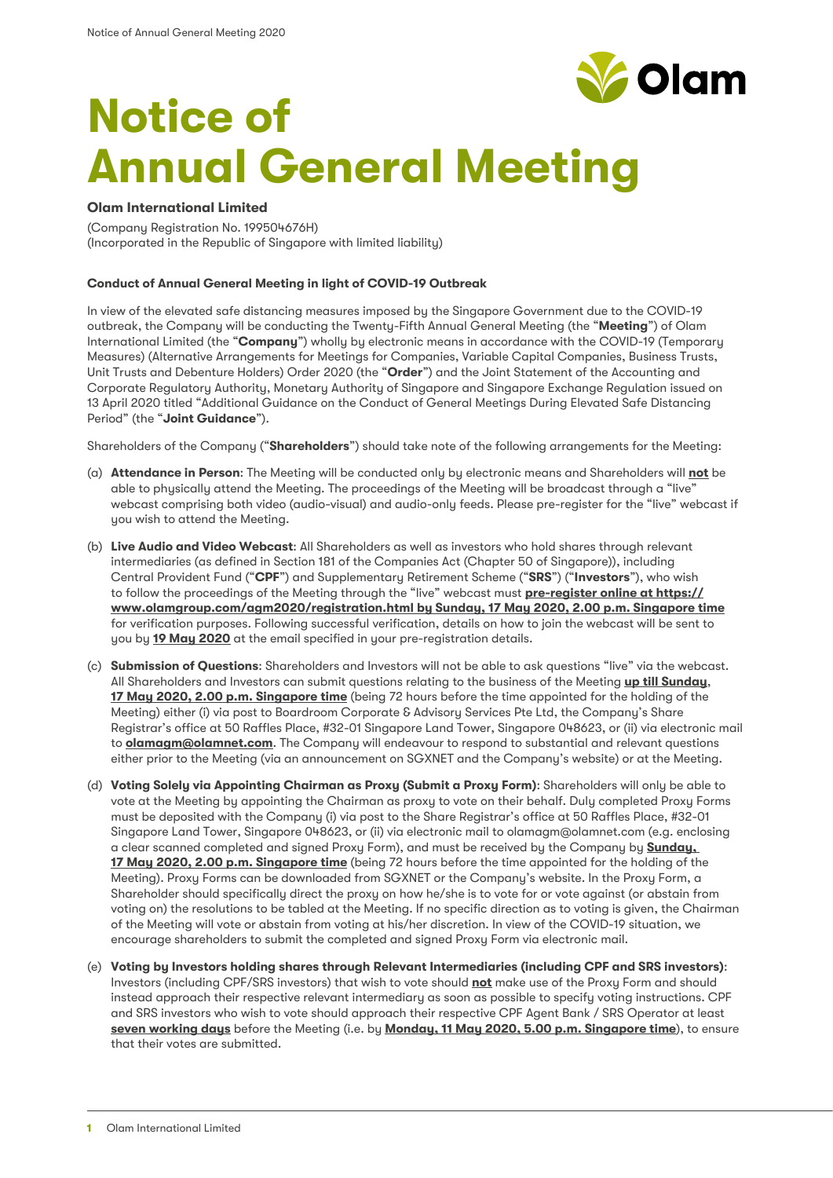

# **Notice of Annual General Meeting**

## **Olam International Limited**

(Company Registration No. 199504676H) (Incorporated in the Republic of Singapore with limited liability)

## **Conduct of Annual General Meeting in light of COVID-19 Outbreak**

In view of the elevated safe distancing measures imposed by the Singapore Government due to the COVID-19 outbreak, the Company will be conducting the Twenty-Fifth Annual General Meeting (the "**Meeting**") of Olam International Limited (the "**Company**") wholly by electronic means in accordance with the COVID-19 (Temporary Measures) (Alternative Arrangements for Meetings for Companies, Variable Capital Companies, Business Trusts, Unit Trusts and Debenture Holders) Order 2020 (the "**Order**") and the Joint Statement of the Accounting and Corporate Regulatory Authority, Monetary Authority of Singapore and Singapore Exchange Regulation issued on 13 April 2020 titled "Additional Guidance on the Conduct of General Meetings During Elevated Safe Distancing Period" (the "**Joint Guidance**").

Shareholders of the Company ("**Shareholders**") should take note of the following arrangements for the Meeting:

- (a) **Attendance in Person**: The Meeting will be conducted only by electronic means and Shareholders will **not** be able to physically attend the Meeting. The proceedings of the Meeting will be broadcast through a "live" webcast comprising both video (audio-visual) and audio-only feeds. Please pre-register for the "live" webcast if you wish to attend the Meeting.
- (b) **Live Audio and Video Webcast**: All Shareholders as well as investors who hold shares through relevant intermediaries (as defined in Section 181 of the Companies Act (Chapter 50 of Singapore)), including Central Provident Fund ("**CPF**") and Supplementary Retirement Scheme ("**SRS**") ("**Investors**"), who wish to follow the proceedings of the Meeting through the "live" webcast must **pre-register online at [https://](https://www.olamgroup.com/agm2020/registration.html) [www.olamgroup.com/agm2020/registration.html](https://www.olamgroup.com/agm2020/registration.html) by Sunday, 17 May 2020, 2.00 p.m. Singapore time** for verification purposes. Following successful verification, details on how to join the webcast will be sent to you by **19 May 2020** at the email specified in your pre-registration details.
- (c) **Submission of Questions**: Shareholders and Investors will not be able to ask questions "live" via the webcast. All Shareholders and Investors can submit questions relating to the business of the Meeting **up till Sunday**, **17 May 2020, 2.00 p.m. Singapore time** (being 72 hours before the time appointed for the holding of the Meeting) either (i) via post to Boardroom Corporate & Advisory Services Pte Ltd, the Company's Share Registrar's office at 50 Raffles Place, #32-01 Singapore Land Tower, Singapore 048623, or (ii) via electronic mail to **olamagm@olamnet.com**. The Company will endeavour to respond to substantial and relevant questions either prior to the Meeting (via an announcement on SGXNET and the Company's website) or at the Meeting.
- (d) **Voting Solely via Appointing Chairman as Proxy (Submit a Proxy Form)**: Shareholders will only be able to vote at the Meeting by appointing the Chairman as proxy to vote on their behalf. Duly completed Proxy Forms must be deposited with the Company (i) via post to the Share Registrar's office at 50 Raffles Place, #32-01 Singapore Land Tower, Singapore 048623, or (ii) via electronic mail to olamagm@olamnet.com (e.g. enclosing a clear scanned completed and signed Proxy Form), and must be received by the Company by **Sunday, 17 May 2020, 2.00 p.m. Singapore time** (being 72 hours before the time appointed for the holding of the Meeting). Proxy Forms can be downloaded from SGXNET or the Company's website. In the Proxy Form, a Shareholder should specifically direct the proxy on how he/she is to vote for or vote against (or abstain from voting on) the resolutions to be tabled at the Meeting. If no specific direction as to voting is given, the Chairman of the Meeting will vote or abstain from voting at his/her discretion. In view of the COVID-19 situation, we encourage shareholders to submit the completed and signed Proxy Form via electronic mail.
- (e) **Voting by Investors holding shares through Relevant Intermediaries (including CPF and SRS investors)**: Investors (including CPF/SRS investors) that wish to vote should **not** make use of the Proxy Form and should instead approach their respective relevant intermediary as soon as possible to specify voting instructions. CPF and SRS investors who wish to vote should approach their respective CPF Agent Bank / SRS Operator at least **seven working days** before the Meeting (i.e. by **Monday, 11 May 2020, 5.00 p.m. Singapore time**), to ensure that their votes are submitted.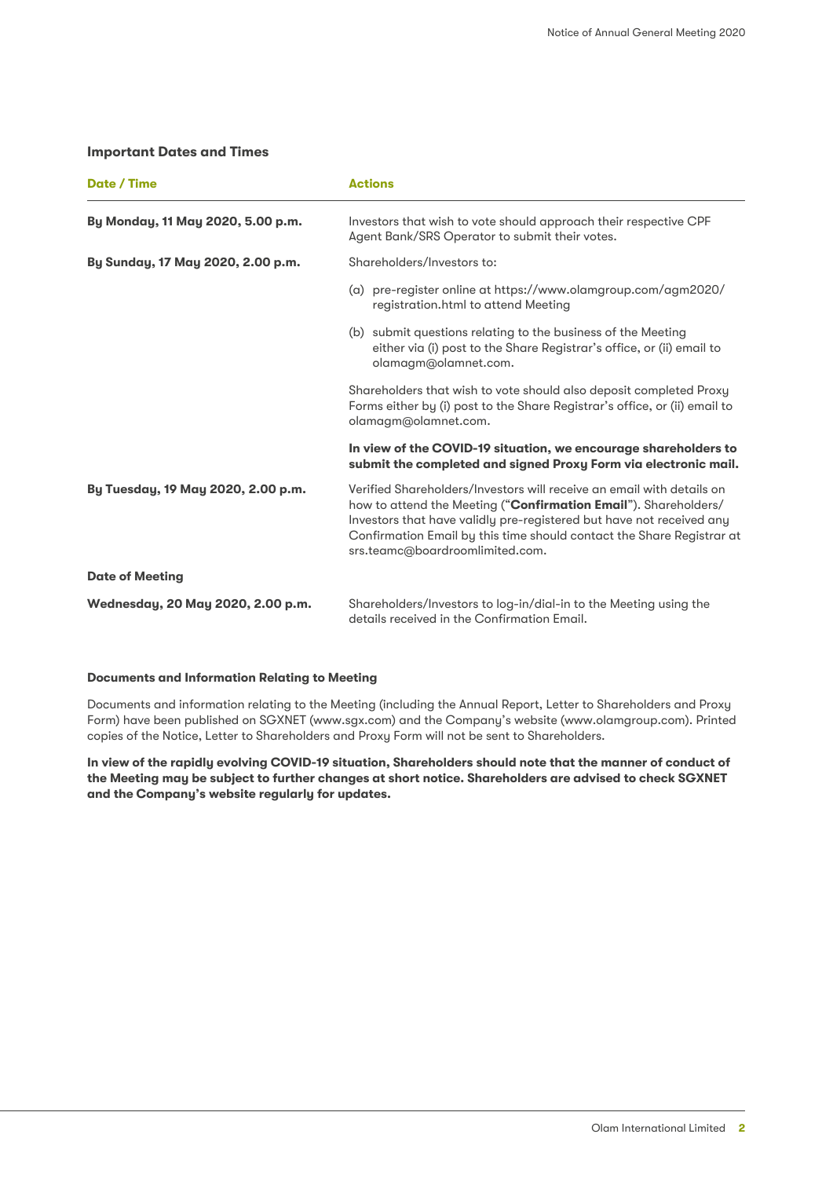### **Important Dates and Times**

| Date / Time                        | <b>Actions</b>                                                                                                                                                                                                                                                                                                               |
|------------------------------------|------------------------------------------------------------------------------------------------------------------------------------------------------------------------------------------------------------------------------------------------------------------------------------------------------------------------------|
| By Monday, 11 May 2020, 5.00 p.m.  | Investors that wish to vote should approach their respective CPF<br>Agent Bank/SRS Operator to submit their votes.                                                                                                                                                                                                           |
| By Sunday, 17 May 2020, 2.00 p.m.  | Shareholders/Investors to:                                                                                                                                                                                                                                                                                                   |
|                                    | (a) pre-register online at https://www.olamgroup.com/agm2020/<br>registration.html to attend Meeting                                                                                                                                                                                                                         |
|                                    | (b) submit questions relating to the business of the Meeting<br>either via (i) post to the Share Registrar's office, or (ii) email to<br>olamagm@olamnet.com.                                                                                                                                                                |
|                                    | Shareholders that wish to vote should also deposit completed Proxy<br>Forms either by (i) post to the Share Registrar's office, or (ii) email to<br>olamagm@olamnet.com.                                                                                                                                                     |
|                                    | In view of the COVID-19 situation, we encourage shareholders to<br>submit the completed and signed Proxy Form via electronic mail.                                                                                                                                                                                           |
| By Tuesday, 19 May 2020, 2.00 p.m. | Verified Shareholders/Investors will receive an email with details on<br>how to attend the Meeting ("Confirmation Email"). Shareholders/<br>Investors that have validly pre-registered but have not received any<br>Confirmation Email by this time should contact the Share Registrar at<br>srs.teamc@boardroomlimited.com. |
| <b>Date of Meeting</b>             |                                                                                                                                                                                                                                                                                                                              |
| Wednesday, 20 May 2020, 2.00 p.m.  | Shareholders/Investors to log-in/dial-in to the Meeting using the<br>details received in the Confirmation Email.                                                                                                                                                                                                             |

#### **Documents and Information Relating to Meeting**

Documents and information relating to the Meeting (including the Annual Report, Letter to Shareholders and Proxy Form) have been published on SGXNET (www.sgx.com) and the Company's website (www.olamgroup.com). Printed copies of the Notice, Letter to Shareholders and Proxy Form will not be sent to Shareholders.

**In view of the rapidly evolving COVID-19 situation, Shareholders should note that the manner of conduct of the Meeting may be subject to further changes at short notice. Shareholders are advised to check SGXNET and the Company's website regularly for updates.**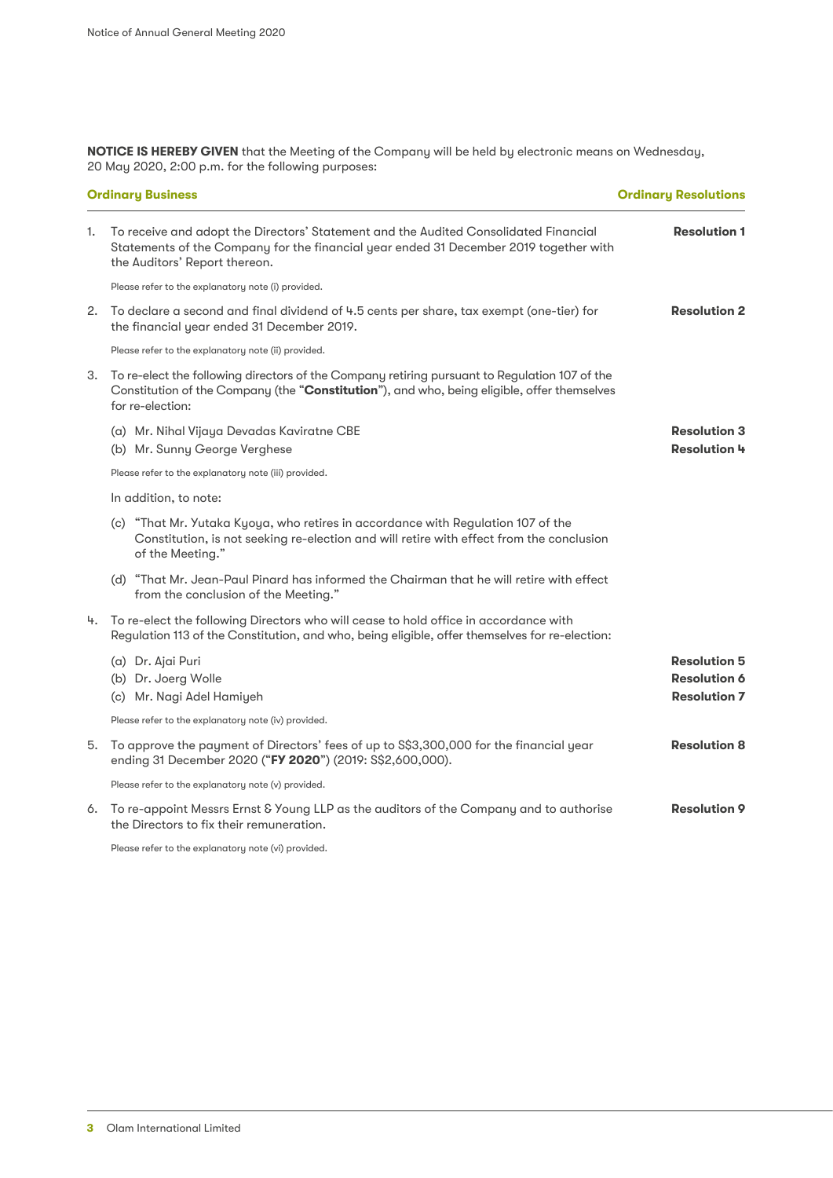**NOTICE IS HEREBY GIVEN** that the Meeting of the Company will be held by electronic means on Wednesday, 20 May 2020, 2:00 p.m. for the following purposes:

|    | <b>Ordinary Business</b>                                                                                                                                                                                         | <b>Ordinary Resolutions</b>                                       |
|----|------------------------------------------------------------------------------------------------------------------------------------------------------------------------------------------------------------------|-------------------------------------------------------------------|
| 1. | To receive and adopt the Directors' Statement and the Audited Consolidated Financial<br>Statements of the Company for the financial year ended 31 December 2019 together with<br>the Auditors' Report thereon.   | <b>Resolution 1</b>                                               |
|    | Please refer to the explanatory note (i) provided.                                                                                                                                                               |                                                                   |
|    | 2. To declare a second and final dividend of 4.5 cents per share, tax exempt (one-tier) for<br>the financial year ended 31 December 2019.                                                                        | <b>Resolution 2</b>                                               |
|    | Please refer to the explanatory note (ii) provided.                                                                                                                                                              |                                                                   |
| 3. | To re-elect the following directors of the Company retiring pursuant to Regulation 107 of the<br>Constitution of the Company (the "Constitution"), and who, being eligible, offer themselves<br>for re-election: |                                                                   |
|    | (a) Mr. Nihal Vijaya Devadas Kaviratne CBE<br>(b) Mr. Sunny George Verghese                                                                                                                                      | <b>Resolution 3</b><br><b>Resolution 4</b>                        |
|    | Please refer to the explanatory note (iii) provided.                                                                                                                                                             |                                                                   |
|    | In addition, to note:                                                                                                                                                                                            |                                                                   |
|    | (c) "That Mr. Yutaka Kyoya, who retires in accordance with Regulation 107 of the<br>Constitution, is not seeking re-election and will retire with effect from the conclusion<br>of the Meeting."                 |                                                                   |
|    | (d) "That Mr. Jean-Paul Pinard has informed the Chairman that he will retire with effect<br>from the conclusion of the Meeting."                                                                                 |                                                                   |
| 4. | To re-elect the following Directors who will cease to hold office in accordance with<br>Regulation 113 of the Constitution, and who, being eligible, offer themselves for re-election:                           |                                                                   |
|    | (a) Dr. Ajai Puri<br>(b) Dr. Joerg Wolle<br>(c) Mr. Nagi Adel Hamiyeh                                                                                                                                            | <b>Resolution 5</b><br><b>Resolution 6</b><br><b>Resolution 7</b> |
|    | Please refer to the explanatory note (iv) provided.                                                                                                                                                              |                                                                   |
|    | 5. To approve the payment of Directors' fees of up to S\$3,300,000 for the financial year<br>ending 31 December 2020 ("FY 2020") (2019: S\$2,600,000).                                                           | <b>Resolution 8</b>                                               |
|    | Please refer to the explanatory note (v) provided.                                                                                                                                                               |                                                                   |
| 6. | To re-appoint Messrs Ernst & Young LLP as the auditors of the Company and to authorise<br>the Directors to fix their remuneration.                                                                               | <b>Resolution 9</b>                                               |

Please refer to the explanatory note (vi) provided.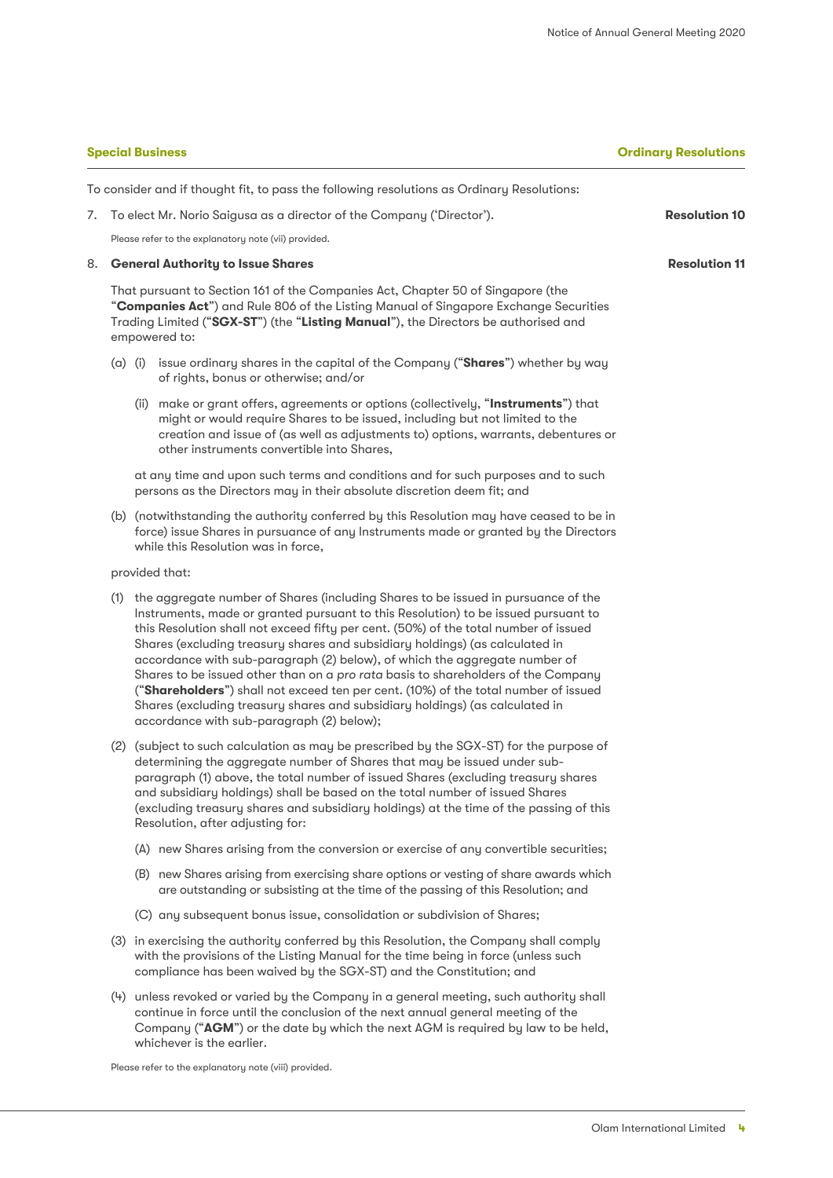**Special Business Ordinary Resolutions**

**Resolution 10**

**Resolution 11**

|    |                                                                                                                                                                                                                         |             | <b>Special Business</b>                                                                                                                                                                                                                                                                                                                                                                                                                                                                                                                                                                                                                                                                                                                | Oı |  |  |  |  |
|----|-------------------------------------------------------------------------------------------------------------------------------------------------------------------------------------------------------------------------|-------------|----------------------------------------------------------------------------------------------------------------------------------------------------------------------------------------------------------------------------------------------------------------------------------------------------------------------------------------------------------------------------------------------------------------------------------------------------------------------------------------------------------------------------------------------------------------------------------------------------------------------------------------------------------------------------------------------------------------------------------------|----|--|--|--|--|
|    |                                                                                                                                                                                                                         |             | To consider and if thought fit, to pass the following resolutions as Ordinary Resolutions:                                                                                                                                                                                                                                                                                                                                                                                                                                                                                                                                                                                                                                             |    |  |  |  |  |
| 7. |                                                                                                                                                                                                                         |             | To elect Mr. Norio Saigusa as a director of the Company ('Director').                                                                                                                                                                                                                                                                                                                                                                                                                                                                                                                                                                                                                                                                  |    |  |  |  |  |
|    |                                                                                                                                                                                                                         |             | Please refer to the explanatory note (vii) provided.                                                                                                                                                                                                                                                                                                                                                                                                                                                                                                                                                                                                                                                                                   |    |  |  |  |  |
| 8. |                                                                                                                                                                                                                         |             | <b>General Authority to Issue Shares</b>                                                                                                                                                                                                                                                                                                                                                                                                                                                                                                                                                                                                                                                                                               |    |  |  |  |  |
|    |                                                                                                                                                                                                                         |             | That pursuant to Section 161 of the Companies Act, Chapter 50 of Singapore (the<br>"Companies Act") and Rule 806 of the Listing Manual of Singapore Exchange Securities<br>Trading Limited ("SGX-ST") (the "Listing Manual"), the Directors be authorised and<br>empowered to:                                                                                                                                                                                                                                                                                                                                                                                                                                                         |    |  |  |  |  |
|    |                                                                                                                                                                                                                         | $(a)$ $(i)$ | issue ordinary shares in the capital of the Company ("Shares") whether by way<br>of rights, bonus or otherwise; and/or                                                                                                                                                                                                                                                                                                                                                                                                                                                                                                                                                                                                                 |    |  |  |  |  |
|    |                                                                                                                                                                                                                         |             | (ii) make or grant offers, agreements or options (collectively, "Instruments") that<br>might or would require Shares to be issued, including but not limited to the<br>creation and issue of (as well as adjustments to) options, warrants, debentures or<br>other instruments convertible into Shares,                                                                                                                                                                                                                                                                                                                                                                                                                                |    |  |  |  |  |
|    |                                                                                                                                                                                                                         |             | at any time and upon such terms and conditions and for such purposes and to such<br>persons as the Directors may in their absolute discretion deem fit; and                                                                                                                                                                                                                                                                                                                                                                                                                                                                                                                                                                            |    |  |  |  |  |
|    | (b) (notwithstanding the authority conferred by this Resolution may have ceased to be in<br>force) issue Shares in pursuance of any Instruments made or granted by the Directors<br>while this Resolution was in force, |             |                                                                                                                                                                                                                                                                                                                                                                                                                                                                                                                                                                                                                                                                                                                                        |    |  |  |  |  |
|    | provided that:                                                                                                                                                                                                          |             |                                                                                                                                                                                                                                                                                                                                                                                                                                                                                                                                                                                                                                                                                                                                        |    |  |  |  |  |
|    | (1)                                                                                                                                                                                                                     |             | the aggregate number of Shares (including Shares to be issued in pursuance of the<br>Instruments, made or granted pursuant to this Resolution) to be issued pursuant to<br>this Resolution shall not exceed fifty per cent. (50%) of the total number of issued<br>Shares (excluding treasury shares and subsidiary holdings) (as calculated in<br>accordance with sub-paragraph (2) below), of which the aggregate number of<br>Shares to be issued other than on a pro rata basis to shareholders of the Company<br>("Shareholders") shall not exceed ten per cent. (10%) of the total number of issued<br>Shares (excluding treasury shares and subsidiary holdings) (as calculated in<br>accordance with sub-paragraph (2) below); |    |  |  |  |  |

(2) (subject to such calculation as may be prescribed by the SGX-ST) for the purpose of determining the aggregate number of Shares that may be issued under subparagraph (1) above, the total number of issued Shares (excluding treasury shares and subsidiary holdings) shall be based on the total number of issued Shares (excluding treasury shares and subsidiary holdings) at the time of the passing of this Resolution, after adjusting for:

- (A) new Shares arising from the conversion or exercise of any convertible securities;
- (B) new Shares arising from exercising share options or vesting of share awards which are outstanding or subsisting at the time of the passing of this Resolution; and
- (C) any subsequent bonus issue, consolidation or subdivision of Shares;
- (3) in exercising the authority conferred by this Resolution, the Company shall comply with the provisions of the Listing Manual for the time being in force (unless such compliance has been waived by the SGX-ST) and the Constitution; and
- (4) unless revoked or varied by the Company in a general meeting, such authority shall continue in force until the conclusion of the next annual general meeting of the Company ("**AGM**") or the date by which the next AGM is required by law to be held, whichever is the earlier.

Please refer to the explanatory note (viii) provided.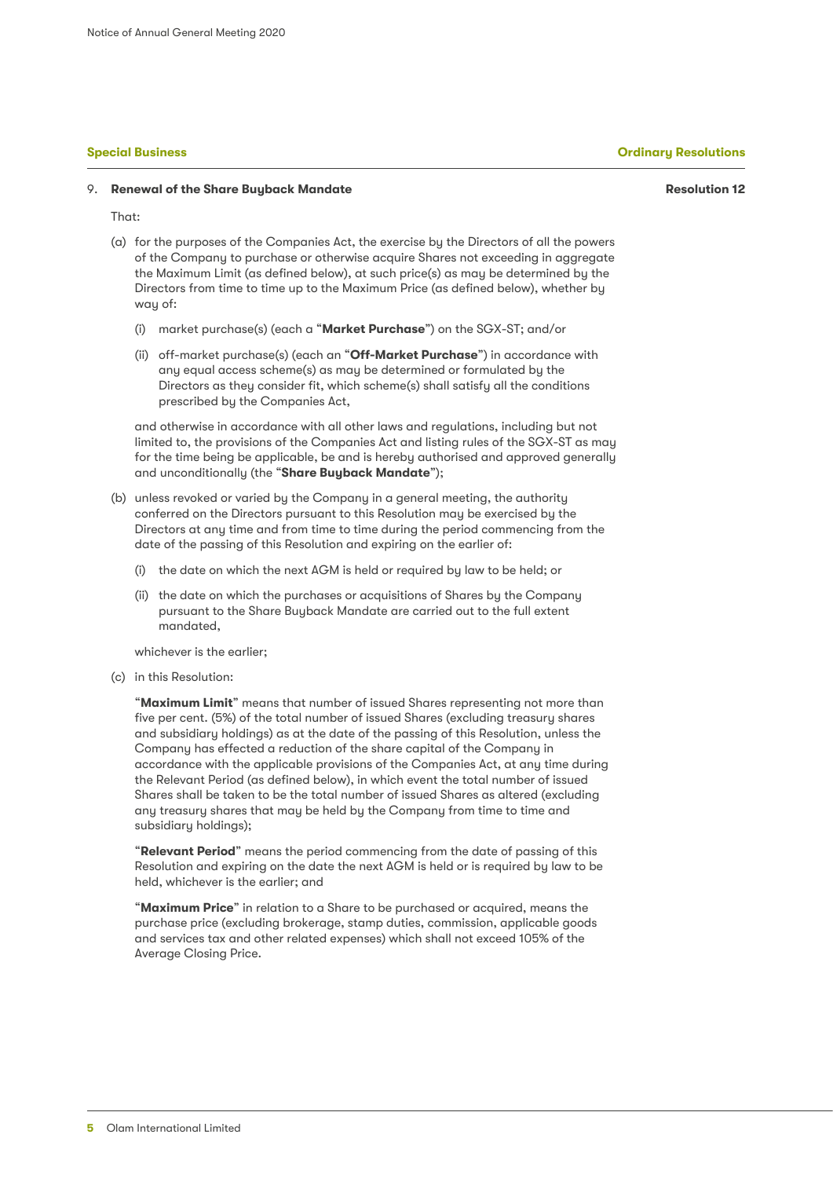**Resolution 12**

#### 9. **Renewal of the Share Buyback Mandate**

That:

- (a) for the purposes of the Companies Act, the exercise by the Directors of all the powers of the Company to purchase or otherwise acquire Shares not exceeding in aggregate the Maximum Limit (as defined below), at such price(s) as may be determined by the Directors from time to time up to the Maximum Price (as defined below), whether by way of:
	- (i) market purchase(s) (each a "**Market Purchase**") on the SGX-ST; and/or
	- (ii) off-market purchase(s) (each an "**Off-Market Purchase**") in accordance with any equal access scheme(s) as may be determined or formulated by the Directors as they consider fit, which scheme(s) shall satisfy all the conditions prescribed by the Companies Act,

and otherwise in accordance with all other laws and regulations, including but not limited to, the provisions of the Companies Act and listing rules of the SGX-ST as may for the time being be applicable, be and is hereby authorised and approved generally and unconditionally (the "**Share Buyback Mandate**");

- (b) unless revoked or varied by the Company in a general meeting, the authority conferred on the Directors pursuant to this Resolution may be exercised by the Directors at any time and from time to time during the period commencing from the date of the passing of this Resolution and expiring on the earlier of:
	- (i) the date on which the next AGM is held or required by law to be held; or
	- (ii) the date on which the purchases or acquisitions of Shares by the Company pursuant to the Share Buyback Mandate are carried out to the full extent mandated,

whichever is the earlier;

(c) in this Resolution:

"**Maximum Limit**" means that number of issued Shares representing not more than five per cent. (5%) of the total number of issued Shares (excluding treasury shares and subsidiary holdings) as at the date of the passing of this Resolution, unless the Company has effected a reduction of the share capital of the Company in accordance with the applicable provisions of the Companies Act, at any time during the Relevant Period (as defined below), in which event the total number of issued Shares shall be taken to be the total number of issued Shares as altered (excluding any treasury shares that may be held by the Company from time to time and subsidiary holdings);

"**Relevant Period**" means the period commencing from the date of passing of this Resolution and expiring on the date the next AGM is held or is required by law to be held, whichever is the earlier; and

"**Maximum Price**" in relation to a Share to be purchased or acquired, means the purchase price (excluding brokerage, stamp duties, commission, applicable goods and services tax and other related expenses) which shall not exceed 105% of the Average Closing Price.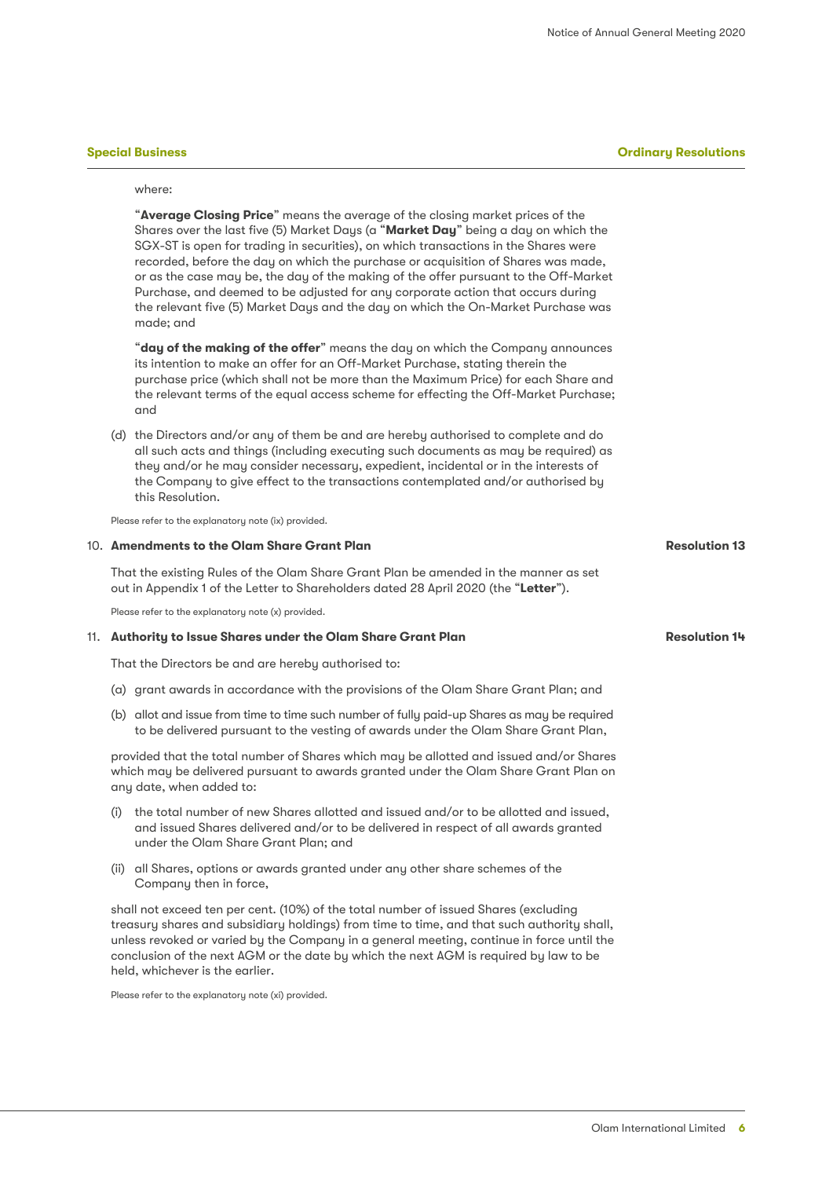#### **Special Business Ordinary Resolutions**

**Resolution 13**

**Resolution 14**

#### where:

"**Average Closing Price**" means the average of the closing market prices of the Shares over the last five (5) Market Days (a "**Market Day**" being a day on which the SGX-ST is open for trading in securities), on which transactions in the Shares were recorded, before the day on which the purchase or acquisition of Shares was made, or as the case may be, the day of the making of the offer pursuant to the Off-Market Purchase, and deemed to be adjusted for any corporate action that occurs during the relevant five (5) Market Days and the day on which the On-Market Purchase was made; and

"**day of the making of the offer**" means the day on which the Company announces its intention to make an offer for an Off-Market Purchase, stating therein the purchase price (which shall not be more than the Maximum Price) for each Share and the relevant terms of the equal access scheme for effecting the Off-Market Purchase; and

(d) the Directors and/or any of them be and are hereby authorised to complete and do all such acts and things (including executing such documents as may be required) as they and/or he may consider necessary, expedient, incidental or in the interests of the Company to give effect to the transactions contemplated and/or authorised by this Resolution.

Please refer to the explanatory note (ix) provided.

#### 10. **Amendments to the Olam Share Grant Plan**

That the existing Rules of the Olam Share Grant Plan be amended in the manner as set out in Appendix 1 of the Letter to Shareholders dated 28 April 2020 (the "**Letter**").

Please refer to the explanatory note (x) provided.

#### 11. **Authority to Issue Shares under the Olam Share Grant Plan**

That the Directors be and are hereby authorised to:

- (a) grant awards in accordance with the provisions of the Olam Share Grant Plan; and
- (b) allot and issue from time to time such number of fully paid-up Shares as may be required to be delivered pursuant to the vesting of awards under the Olam Share Grant Plan,

provided that the total number of Shares which may be allotted and issued and/or Shares which may be delivered pursuant to awards granted under the Olam Share Grant Plan on any date, when added to:

- (i) the total number of new Shares allotted and issued and/or to be allotted and issued, and issued Shares delivered and/or to be delivered in respect of all awards granted under the Olam Share Grant Plan; and
- (ii) all Shares, options or awards granted under any other share schemes of the Company then in force,

shall not exceed ten per cent. (10%) of the total number of issued Shares (excluding treasury shares and subsidiary holdings) from time to time, and that such authority shall, unless revoked or varied by the Company in a general meeting, continue in force until the conclusion of the next AGM or the date by which the next AGM is required by law to be held, whichever is the earlier.

Please refer to the explanatory note (xi) provided.

Olam International Limited **6**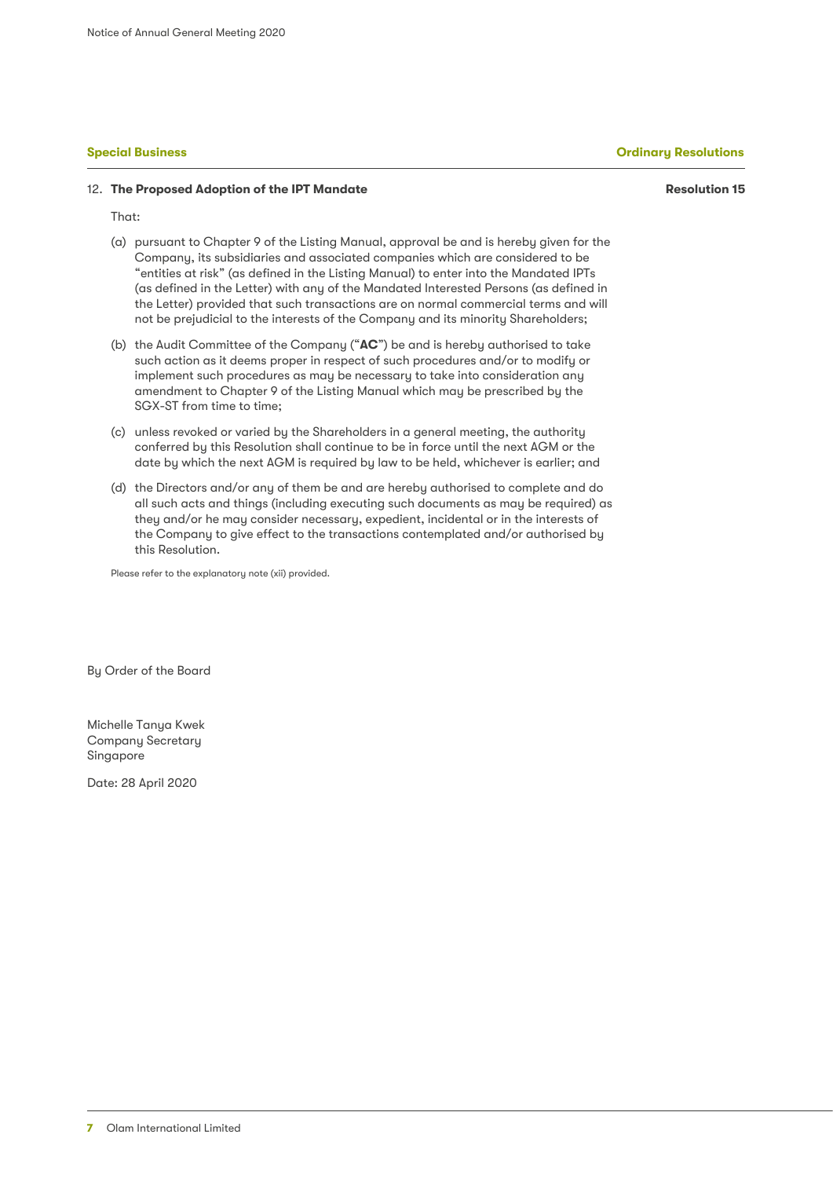**Resolution 15**

#### 12. **The Proposed Adoption of the IPT Mandate**

That:

- (a) pursuant to Chapter 9 of the Listing Manual, approval be and is hereby given for the Company, its subsidiaries and associated companies which are considered to be "entities at risk" (as defined in the Listing Manual) to enter into the Mandated IPTs (as defined in the Letter) with any of the Mandated Interested Persons (as defined in the Letter) provided that such transactions are on normal commercial terms and will not be prejudicial to the interests of the Company and its minority Shareholders;
- (b) the Audit Committee of the Company ("**AC**") be and is hereby authorised to take such action as it deems proper in respect of such procedures and/or to modify or implement such procedures as may be necessary to take into consideration any amendment to Chapter 9 of the Listing Manual which may be prescribed by the SGX-ST from time to time;
- (c) unless revoked or varied by the Shareholders in a general meeting, the authority conferred by this Resolution shall continue to be in force until the next AGM or the date by which the next AGM is required by law to be held, whichever is earlier; and
- (d) the Directors and/or any of them be and are hereby authorised to complete and do all such acts and things (including executing such documents as may be required) as they and/or he may consider necessary, expedient, incidental or in the interests of the Company to give effect to the transactions contemplated and/or authorised by this Resolution.

Please refer to the explanatory note (xii) provided.

By Order of the Board

Michelle Tanya Kwek Company Secretary Singapore

Date: 28 April 2020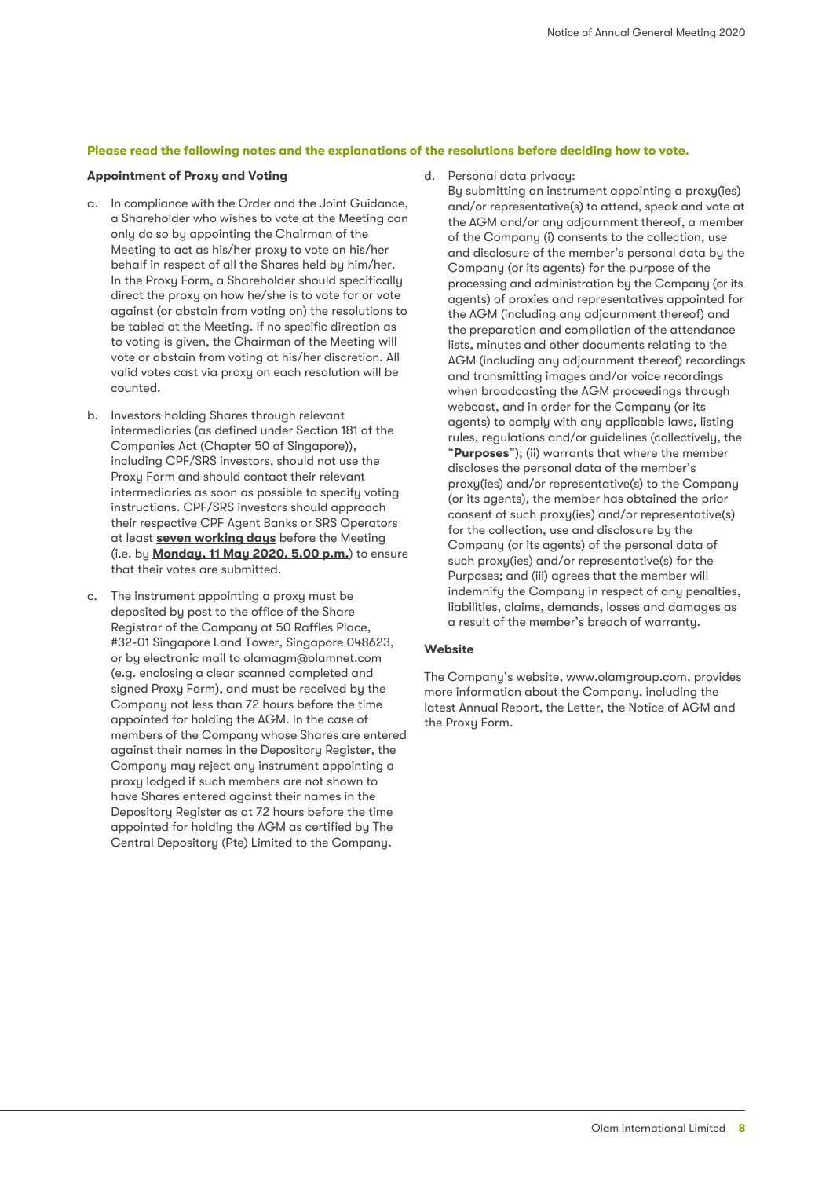#### **Please read the following notes and the explanations of the resolutions before deciding how to vote.**

#### **Appointment of Proxy and Voting**

- a. In compliance with the Order and the Joint Guidance, a Shareholder who wishes to vote at the Meeting can only do so by appointing the Chairman of the Meeting to act as his/her proxy to vote on his/her behalf in respect of all the Shares held by him/her. In the Proxy Form, a Shareholder should specifically direct the proxy on how he/she is to vote for or vote against (or abstain from voting on) the resolutions to be tabled at the Meeting. If no specific direction as to voting is given, the Chairman of the Meeting will vote or abstain from voting at his/her discretion. All valid votes cast via proxy on each resolution will be counted.
- b. Investors holding Shares through relevant intermediaries (as defined under Section 181 of the Companies Act (Chapter 50 of Singapore)), including CPF/SRS investors, should not use the Proxy Form and should contact their relevant intermediaries as soon as possible to specify voting instructions. CPF/SRS investors should approach their respective CPF Agent Banks or SRS Operators at least **seven working days** before the Meeting (i.e. by **Monday, 11 May 2020, 5.00 p.m.**) to ensure that their votes are submitted.
- c. The instrument appointing a proxy must be deposited by post to the office of the Share Registrar of the Company at 50 Raffles Place, #32-01 Singapore Land Tower, Singapore 048623, or by electronic mail to olamagm@olamnet.com (e.g. enclosing a clear scanned completed and signed Proxy Form), and must be received by the Company not less than 72 hours before the time appointed for holding the AGM. In the case of members of the Company whose Shares are entered against their names in the Depository Register, the Company may reject any instrument appointing a proxy lodged if such members are not shown to have Shares entered against their names in the Depository Register as at 72 hours before the time appointed for holding the AGM as certified by The Central Depository (Pte) Limited to the Company.

d. Personal data privacy:

By submitting an instrument appointing a proxy(ies) and/or representative(s) to attend, speak and vote at the AGM and/or any adjournment thereof, a member of the Company (i) consents to the collection, use and disclosure of the member's personal data by the Company (or its agents) for the purpose of the processing and administration by the Company (or its agents) of proxies and representatives appointed for the AGM (including any adjournment thereof) and the preparation and compilation of the attendance lists, minutes and other documents relating to the AGM (including any adjournment thereof) recordings and transmitting images and/or voice recordings when broadcasting the AGM proceedings through webcast, and in order for the Company (or its agents) to comply with any applicable laws, listing rules, regulations and/or guidelines (collectively, the "**Purposes**"); (ii) warrants that where the member discloses the personal data of the member's proxy(ies) and/or representative(s) to the Company (or its agents), the member has obtained the prior consent of such proxy(ies) and/or representative(s) for the collection, use and disclosure by the Company (or its agents) of the personal data of such proxy(ies) and/or representative(s) for the Purposes; and (iii) agrees that the member will indemnify the Company in respect of any penalties, liabilities, claims, demands, losses and damages as a result of the member's breach of warranty.

### **Website**

The Company's website, www.olamgroup.com, provides more information about the Company, including the latest Annual Report, the Letter, the Notice of AGM and the Proxy Form.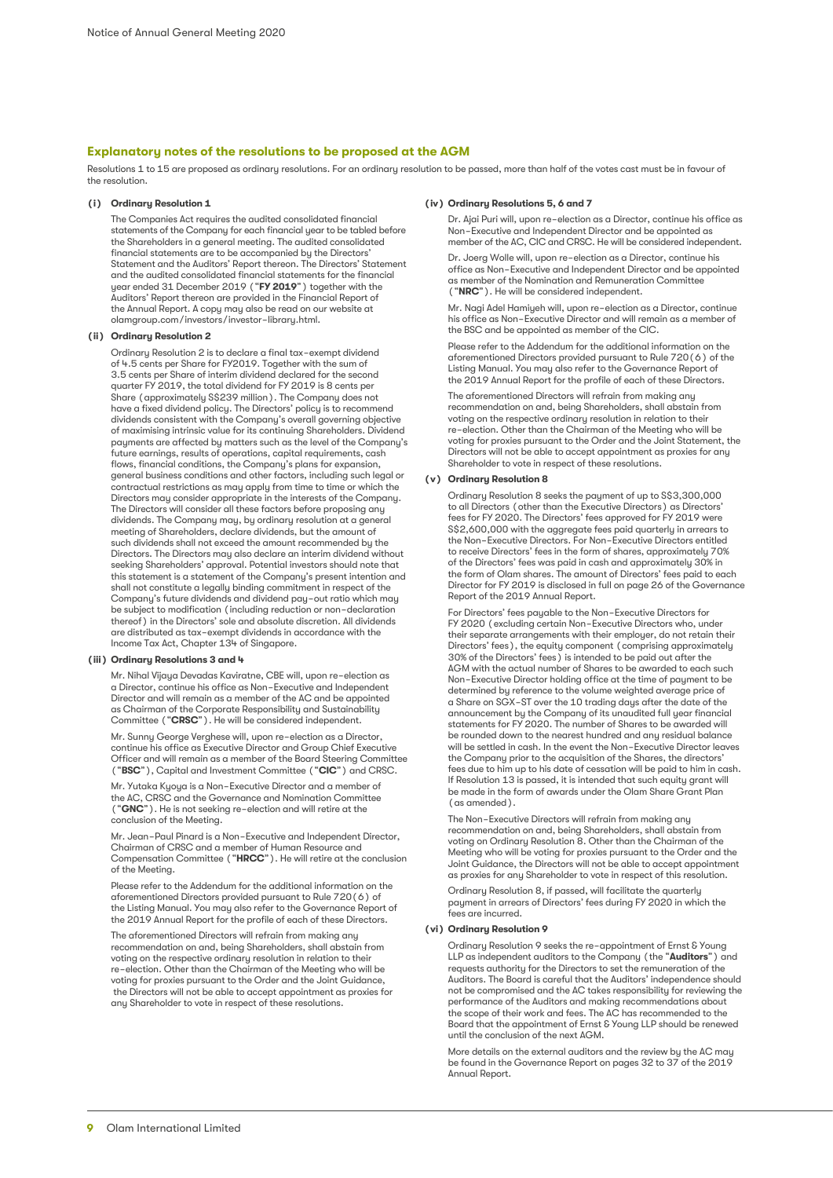#### **Explanatory notes of the resolutions to be proposed at the AGM**

Resolutions 1 to 15 are proposed as ordinary resolutions. For an ordinary resolution to be passed, more than half of the votes cast must be in favour of the resolution.

#### **(i) Ordinary Resolution 1**

The Companies Act requires the audited consolidated financial statements of the Company for each financial year to be tabled before the Shareholders in a general meeting. The audited consolidated financial statements are to be accompanied by the Directors' Statement and the Auditors' Report thereon. The Directors' Statement and the audited consolidated financial statements for the financial year ended 31 December 2019 ("**FY 2019**") together with the Auditors' Report thereon are provided in the Financial Report of the Annual Report. A copy may also be read on our website at olamgroup.com/investors/investor-library.html.

#### **(ii) Ordinary Resolution 2**

Ordinary Resolution 2 is to declare a final tax-exempt dividend of 4.5 cents per Share for FY2019. Together with the sum of 3.5 cents per Share of interim dividend declared for the second quarter FY 2019, the total dividend for FY 2019 is 8 cents per Share (approximately S\$239 million). The Company does not have a fixed dividend policy. The Directors' policy is to recommend dividends consistent with the Company's overall governing objective of maximising intrinsic value for its continuing Shareholders. Dividend payments are affected by matters such as the level of the Company's future earnings, results of operations, capital requirements, cash flows, financial conditions, the Company's plans for expansion, general business conditions and other factors, including such legal or contractual restrictions as may apply from time to time or which the Directors may consider appropriate in the interests of the Company. The Directors will consider all these factors before proposing any dividends. The Company may, by ordinary resolution at a general meeting of Shareholders, declare dividends, but the amount of such dividends shall not exceed the amount recommended by the Directors. The Directors may also declare an interim dividend without seeking Shareholders' approval. Potential investors should note that this statement is a statement of the Company's present intention and shall not constitute a legally binding commitment in respect of the Company's future dividends and dividend pay-out ratio which may be subject to modification (including reduction or non-declaration thereof) in the Directors' sole and absolute discretion. All dividends are distributed as tax-exempt dividends in accordance with the Income Tax Act, Chapter 134 of Singapore.

#### **(iii) Ordinary Resolutions 3 and 4**

Mr. Nihal Vijaya Devadas Kaviratne, CBE will, upon re-election as a Director, continue his office as Non-Executive and Independent Director and will remain as a member of the AC and be appointed as Chairman of the Corporate Responsibility and Sustainability Committee ("**CRSC**"). He will be considered independent.

Mr. Sunny George Verghese will, upon re-election as a Director, continue his office as Executive Director and Group Chief Executive Officer and will remain as a member of the Board Steering Committee ("**BSC**"), Capital and Investment Committee ("**CIC**") and CRSC.

Mr. Yutaka Kyoya is a Non-Executive Director and a member of the AC, CRSC and the Governance and Nomination Committee ("**GNC**"). He is not seeking re-election and will retire at the conclusion of the Meeting.

Mr. Jean-Paul Pinard is a Non-Executive and Independent Director, Chairman of CRSC and a member of Human Resource and Compensation Committee ("**HRCC**"). He will retire at the conclusion of the Meeting.

Please refer to the Addendum for the additional information on the aforementioned Directors provided pursuant to Rule 720(6) of the Listing Manual. You may also refer to the Governance Report of the 2019 Annual Report for the profile of each of these Directors.

The aforementioned Directors will refrain from making any recommendation on and, being Shareholders, shall abstain from voting on the respective ordinary resolution in relation to their re-election. Other than the Chairman of the Meeting who will be voting for proxies pursuant to the Order and the Joint Guidance, the Directors will not be able to accept appointment as proxies for any Shareholder to vote in respect of these resolutions.

#### **(iv) Ordinary Resolutions 5, 6 and 7**

Dr. Ajai Puri will, upon re-election as a Director, continue his office as Non-Executive and Independent Director and be appointed as member of the AC, CIC and CRSC. He will be considered independent.

Dr. Joerg Wolle will, upon re-election as a Director, continue his office as Non-Executive and Independent Director and be appointed as member of the Nomination and Remuneration Committee ("**NRC**"). He will be considered independent.

Mr. Nagi Adel Hamiyeh will, upon re-election as a Director, continue his office as Non-Executive Director and will remain as a member of the BSC and be appointed as member of the CIC.

Please refer to the Addendum for the additional information on the aforementioned Directors provided pursuant to Rule 720(6) of the Listing Manual. You may also refer to the Governance Report of the 2019 Annual Report for the profile of each of these Directors.

The aforementioned Directors will refrain from making any recommendation on and, being Shareholders, shall abstain from voting on the respective ordinary resolution in relation to their re-election. Other than the Chairman of the Meeting who will be voting for proxies pursuant to the Order and the Joint Statement, the Directors will not be able to accept appointment as proxies for any Shareholder to vote in respect of these resolutions.

#### **(v) Ordinary Resolution 8**

Ordinary Resolution 8 seeks the payment of up to S\$3,300,000 to all Directors (other than the Executive Directors) as Directors' fees for FY 2020. The Directors' fees approved for FY 2019 were S\$2,600,000 with the aggregate fees paid quarterly in arrears to the Non-Executive Directors. For Non-Executive Directors entitled to receive Directors' fees in the form of shares, approximately 70% of the Directors' fees was paid in cash and approximately 30% in the form of Olam shares. The amount of Directors' fees paid to each Director for FY 2019 is disclosed in full on page 26 of the Governance Report of the 2019 Annual Report.

For Directors' fees payable to the Non-Executive Directors for FY 2020 (excluding certain Non-Executive Directors who, under their separate arrangements with their employer, do not retain their Directors' fees), the equity component (comprising approximately 30% of the Directors' fees) is intended to be paid out after the AGM with the actual number of Shares to be awarded to each such Non-Executive Director holding office at the time of payment to be determined by reference to the volume weighted average price of a Share on SGX-ST over the 10 trading days after the date of the announcement by the Company of its unaudited full year financial statements for FY 2020. The number of Shares to be awarded will be rounded down to the nearest hundred and any residual balance will be settled in cash. In the event the Non-Executive Director leaves the Company prior to the acquisition of the Shares, the directors' fees due to him up to his date of cessation will be paid to him in cash. If Resolution 13 is passed, it is intended that such equity grant will be made in the form of awards under the Olam Share Grant Plan (as amended).

The Non-Executive Directors will refrain from making any recommendation on and, being Shareholders, shall abstain from voting on Ordinary Resolution 8. Other than the Chairman of the Meeting who will be voting for proxies pursuant to the Order and the Joint Guidance, the Directors will not be able to accept appointment as proxies for any Shareholder to vote in respect of this resolution.

Ordinary Resolution 8, if passed, will facilitate the quarterly payment in arrears of Directors' fees during FY 2020 in which the fees are incurred.

#### **(vi) Ordinary Resolution 9**

Ordinary Resolution 9 seeks the re-appointment of Ernst & Young LLP as independent auditors to the Company (the "**Auditors**") and requests authority for the Directors to set the remuneration of the Auditors. The Board is careful that the Auditors' independence should not be compromised and the AC takes responsibility for reviewing the performance of the Auditors and making recommendations about the scope of their work and fees. The AC has recommended to the Board that the appointment of Ernst & Young LLP should be renewed until the conclusion of the next AGM.

More details on the external auditors and the review by the AC may be found in the Governance Report on pages 32 to 37 of the 2019 Annual Report.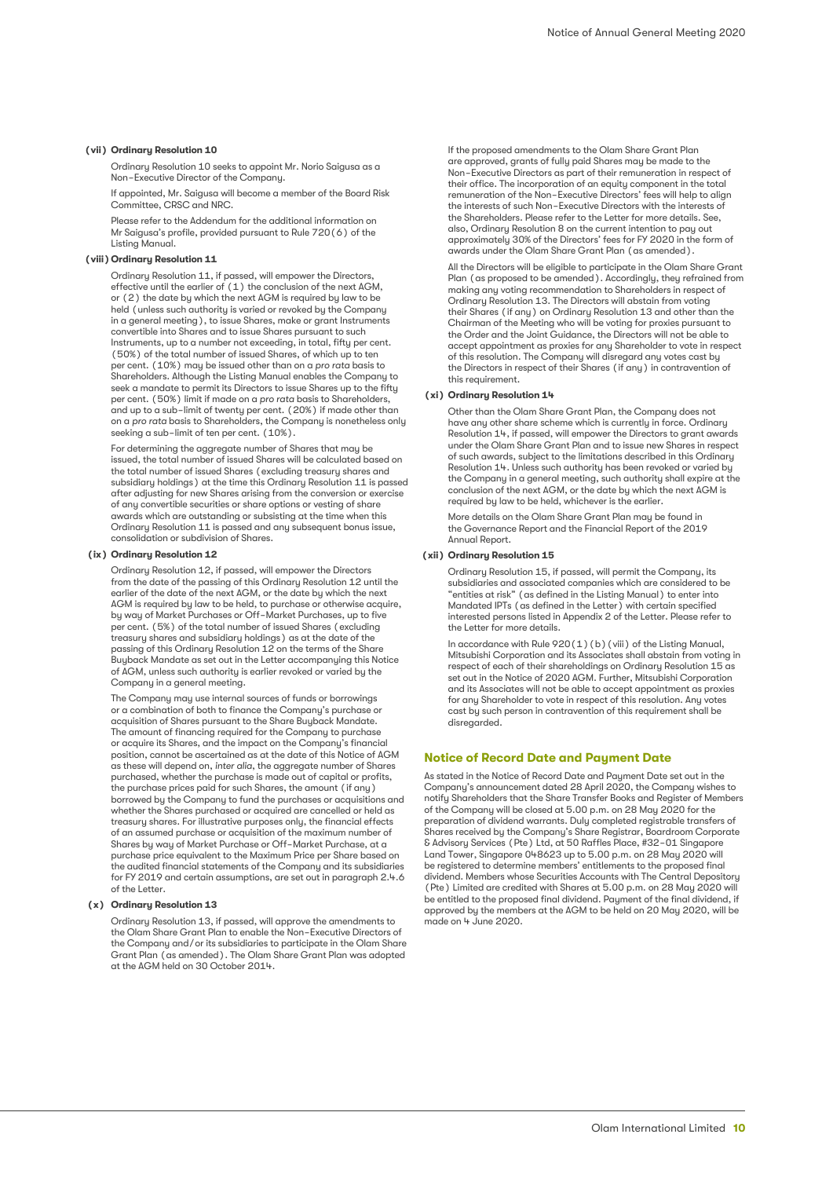#### **(vii) Ordinary Resolution 10**

Ordinary Resolution 10 seeks to appoint Mr. Norio Saigusa as a Non-Executive Director of the Company.

If appointed, Mr. Saigusa will become a member of the Board Risk Committee, CRSC and NRC.

Please refer to the Addendum for the additional information on Mr Saigusa's profile, provided pursuant to Rule 720(6) of the Listing Manual.

#### **(viii) Ordinary Resolution 11**

Ordinary Resolution 11, if passed, will empower the Directors, effective until the earlier of (1) the conclusion of the next AGM, or (2) the date by which the next AGM is required by law to be held (unless such authority is varied or revoked by the Company in a general meeting), to issue Shares, make or grant Instruments convertible into Shares and to issue Shares pursuant to such Instruments, up to a number not exceeding, in total, fifty per cent. (50%) of the total number of issued Shares, of which up to ten per cent. (10%) may be issued other than on a *pro rata* basis to Shareholders. Although the Listing Manual enables the Company to seek a mandate to permit its Directors to issue Shares up to the fifty per cent. (50%) limit if made on a *pro rata* basis to Shareholders, and up to a sub-limit of twenty per cent. (20%) if made other than on a *pro rata* basis to Shareholders, the Company is nonetheless only seeking a sub-limit of ten per cent. (10%).

For determining the aggregate number of Shares that may be issued, the total number of issued Shares will be calculated based on the total number of issued Shares (excluding treasury shares and subsidiary holdings) at the time this Ordinary Resolution 11 is passed after adjusting for new Shares arising from the conversion or exercise of any convertible securities or share options or vesting of share awards which are outstanding or subsisting at the time when this Ordinary Resolution 11 is passed and any subsequent bonus issue, consolidation or subdivision of Shares.

#### **(ix) Ordinary Resolution 12**

Ordinary Resolution 12, if passed, will empower the Directors from the date of the passing of this Ordinary Resolution 12 until the earlier of the date of the next AGM, or the date by which the next AGM is required by law to be held, to purchase or otherwise acquire, by way of Market Purchases or Off-Market Purchases, up to five per cent. (5%) of the total number of issued Shares (excluding treasury shares and subsidiary holdings) as at the date of the passing of this Ordinary Resolution 12 on the terms of the Share Buyback Mandate as set out in the Letter accompanying this Notice of AGM, unless such authority is earlier revoked or varied by the Company in a general meeting.

The Company may use internal sources of funds or borrowings or a combination of both to finance the Company's purchase or acquisition of Shares pursuant to the Share Buyback Mandate. The amount of financing required for the Company to purchase or acquire its Shares, and the impact on the Company's financial position, cannot be ascertained as at the date of this Notice of AGM as these will depend on, *inter alia*, the aggregate number of Shares purchased, whether the purchase is made out of capital or profits, the purchase prices paid for such Shares, the amount (if any) borrowed by the Company to fund the purchases or acquisitions and whether the Shares purchased or acquired are cancelled or held as treasury shares. For illustrative purposes only, the financial effects of an assumed purchase or acquisition of the maximum number of Shares by way of Market Purchase or Off-Market Purchase, at a purchase price equivalent to the Maximum Price per Share based on the audited financial statements of the Company and its subsidiaries for FY 2019 and certain assumptions, are set out in paragraph 2.4.6 of the Letter.

#### **(x) Ordinary Resolution 13**

Ordinary Resolution 13, if passed, will approve the amendments to the Olam Share Grant Plan to enable the Non-Executive Directors of the Company and/or its subsidiaries to participate in the Olam Share Grant Plan (as amended). The Olam Share Grant Plan was adopted at the AGM held on 30 October 2014.

If the proposed amendments to the Olam Share Grant Plan are approved, grants of fully paid Shares may be made to the Non-Executive Directors as part of their remuneration in respect of their office. The incorporation of an equity component in the total remuneration of the Non-Executive Directors' fees will help to align the interests of such Non-Executive Directors with the interests of the Shareholders. Please refer to the Letter for more details. See, also, Ordinary Resolution 8 on the current intention to pay out approximately 30% of the Directors' fees for FY 2020 in the form of awards under the Olam Share Grant Plan (as amended).

All the Directors will be eligible to participate in the Olam Share Grant Plan (as proposed to be amended). Accordingly, they refrained from making any voting recommendation to Shareholders in respect of Ordinary Resolution 13. The Directors will abstain from voting their Shares (if any) on Ordinary Resolution 13 and other than the Chairman of the Meeting who will be voting for proxies pursuant to the Order and the Joint Guidance, the Directors will not be able to accept appointment as proxies for any Shareholder to vote in respect of this resolution. The Company will disregard any votes cast by the Directors in respect of their Shares (if any) in contravention of this requirement.

#### **(xi) Ordinary Resolution 14**

Other than the Olam Share Grant Plan, the Company does not have any other share scheme which is currently in force. Ordinary Resolution 14, if passed, will empower the Directors to grant awards under the Olam Share Grant Plan and to issue new Shares in respect of such awards, subject to the limitations described in this Ordinary Resolution 14. Unless such authority has been revoked or varied by the Company in a general meeting, such authority shall expire at the conclusion of the next AGM, or the date by which the next AGM is required by law to be held, whichever is the earlier.

More details on the Olam Share Grant Plan may be found in the Governance Report and the Financial Report of the 2019 Annual Report.

#### **(xii) Ordinary Resolution 15**

Ordinary Resolution 15, if passed, will permit the Company, its subsidiaries and associated companies which are considered to be "entities at risk" (as defined in the Listing Manual) to enter into Mandated IPTs (as defined in the Letter) with certain specified interested persons listed in Appendix 2 of the Letter. Please refer to the Letter for more details.

In accordance with Rule 920(1)(b)(viii) of the Listing Manual, Mitsubishi Corporation and its Associates shall abstain from voting in respect of each of their shareholdings on Ordinary Resolution 15 as set out in the Notice of 2020 AGM. Further, Mitsubishi Corporation and its Associates will not be able to accept appointment as proxies for any Shareholder to vote in respect of this resolution. Any votes cast by such person in contravention of this requirement shall be disregarded.

#### **Notice of Record Date and Payment Date**

As stated in the Notice of Record Date and Payment Date set out in the Company's announcement dated 28 April 2020, the Company wishes to notify Shareholders that the Share Transfer Books and Register of Members of the Company will be closed at 5.00 p.m. on 28 May 2020 for the preparation of dividend warrants. Duly completed registrable transfers of Shares received by the Company's Share Registrar, Boardroom Corporate & Advisory Services (Pte) Ltd, at 50 Raffles Place, #32-01 Singapore Land Tower, Singapore 048623 up to 5.00 p.m. on 28 May 2020 will be registered to determine members' entitlements to the proposed final dividend. Members whose Securities Accounts with The Central Depository (Pte) Limited are credited with Shares at 5.00 p.m. on 28 May 2020 will be entitled to the proposed final dividend. Payment of the final dividend, if approved by the members at the AGM to be held on 20 May 2020, will be made on 4 June 2020.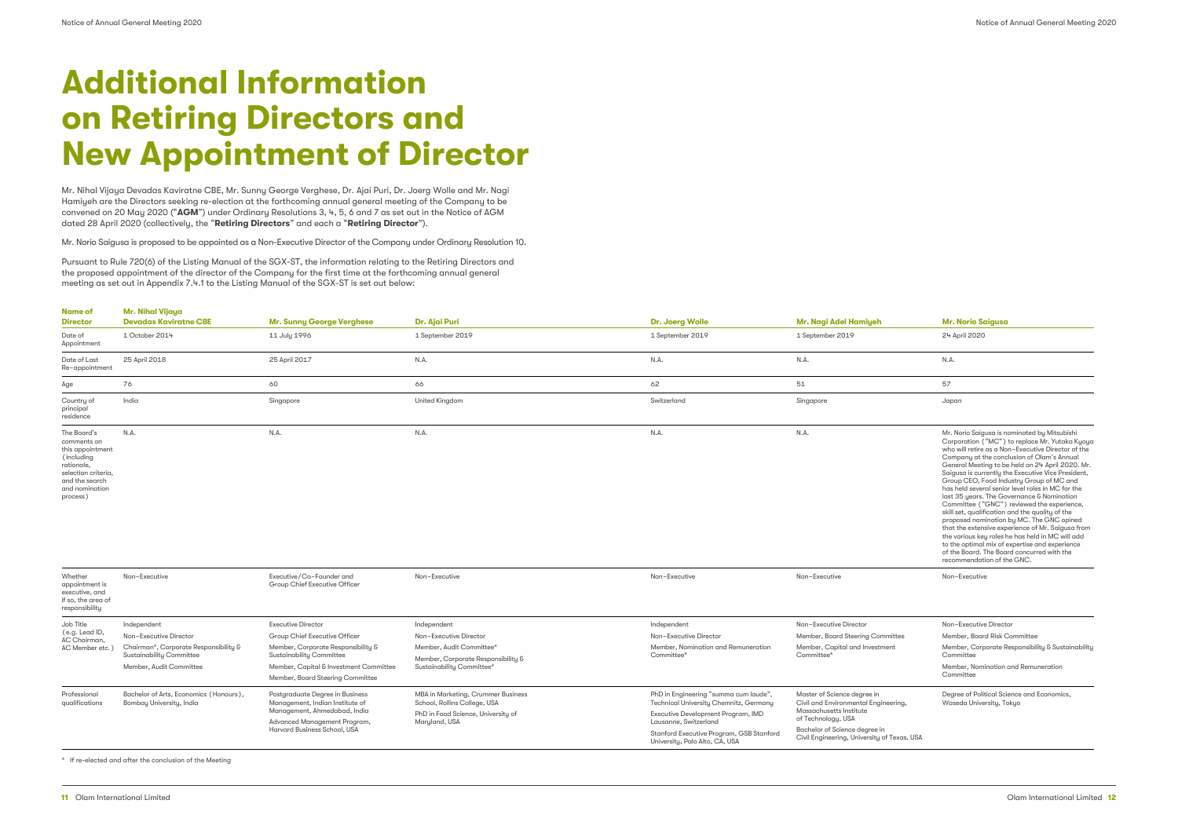Mr. Nihal Vijaya Devadas Kaviratne CBE, Mr. Sunny George Verghese, Dr. Ajai Puri, Dr. Joerg Wolle and Mr. Nagi Hamiyeh are the Directors seeking re-election at the forthcoming annual general meeting of the Company to be convened on 20 May 2020 ("**AGM**") under Ordinary Resolutions 3, 4, 5, 6 and 7 as set out in the Notice of AGM dated 28 April 2020 (collectively, the "**Retiring Directors**" and each a "**Retiring Director**").

Mr. Norio Saigusa is proposed to be appointed as a Non-Executive Director of the Company under Ordinary Resolution 10.

Pursuant to Rule 720(6) of the Listing Manual of the SGX-ST, the information relating to the Retiring Directors and the proposed appointment of the director of the Company for the first time at the forthcoming annual general meeting as set out in Appendix 7.4.1 to the Listing Manual of the SGX-ST is set out below:

| <b>Name of</b><br><b>Director</b>                             | Mr. Nihal Vijaya<br><b>Devadas Kaviratne CBE</b> | <b>Mr. Sunny George Verghese</b> | Dr. Ajai Puri         | <b>Dr. Joerg Wolle</b> | Mr. Nagi Adel Hamiyeh | Mr. Norio Saigusa                                                                                                                                                                         |
|---------------------------------------------------------------|--------------------------------------------------|----------------------------------|-----------------------|------------------------|-----------------------|-------------------------------------------------------------------------------------------------------------------------------------------------------------------------------------------|
| Date of<br>Appointment                                        | 1 October 2014                                   | 11 July 1996                     | 1 September 2019      | 1 September 2019       | 1 September 2019      | 24 April 2020                                                                                                                                                                             |
| Date of Last<br>Re-appointment                                | 25 April 2018                                    | 25 April 2017                    | N.A.                  | N.A.                   | N.A.                  | N.A.                                                                                                                                                                                      |
| Age                                                           | 76                                               | 60                               | 66                    | 62                     | 51                    | 57                                                                                                                                                                                        |
| Country of<br>principal<br>residence                          | India                                            | Singapore                        | <b>United Kingdom</b> | Switzerland            | Singapore             | Japan                                                                                                                                                                                     |
| The Board's<br>comments on<br>this appointment<br>(including) | N.A.                                             | N.A.                             | N.A.                  | N.A.                   | N.A.                  | Mr. Norio Saigusa is nominated by Mitsubishi<br>Corporation ("MC") to replace Mr. Yutaka K<br>who will retire as a Non-Executive Director of<br>Company at the conclusion of Olam's Annua |

rationale, selection criteria, and the search and nomination process)

|                | Mr. Norio Saigusa                                                                                                                                                                                                                                                                                                                                                                                                                                                                                                                                                                                                                                                                                                                                                                                                                                |
|----------------|--------------------------------------------------------------------------------------------------------------------------------------------------------------------------------------------------------------------------------------------------------------------------------------------------------------------------------------------------------------------------------------------------------------------------------------------------------------------------------------------------------------------------------------------------------------------------------------------------------------------------------------------------------------------------------------------------------------------------------------------------------------------------------------------------------------------------------------------------|
|                | 24 April 2020                                                                                                                                                                                                                                                                                                                                                                                                                                                                                                                                                                                                                                                                                                                                                                                                                                    |
|                | N.A.                                                                                                                                                                                                                                                                                                                                                                                                                                                                                                                                                                                                                                                                                                                                                                                                                                             |
|                | 57                                                                                                                                                                                                                                                                                                                                                                                                                                                                                                                                                                                                                                                                                                                                                                                                                                               |
|                | Japan                                                                                                                                                                                                                                                                                                                                                                                                                                                                                                                                                                                                                                                                                                                                                                                                                                            |
|                | Mr. Norio Saigusa is nominated by Mitsubishi<br>Corporation ("MC") to replace Mr. Yutaka Kyoya<br>who will retire as a Non-Executive Director of the<br>Company at the conclusion of Olam's Annual<br>General Meeting to be held on 24 April 2020. Mr.<br>Saigusa is currently the Executive Vice President,<br>Group CEO, Food Industry Group of MC and<br>has held several senior level roles in MC for the<br>last 35 years. The Governance & Nomination<br>Committee ("GNC") reviewed the experience,<br>skill set, qualification and the quality of the<br>proposed nomination by MC. The GNC opined<br>that the extensive experience of Mr. Saigusa from<br>the various key roles he has held in MC will add<br>to the optimal mix of expertise and experience<br>of the Board. The Board concurred with the<br>recommendation of the GNC. |
|                | Non-Executive                                                                                                                                                                                                                                                                                                                                                                                                                                                                                                                                                                                                                                                                                                                                                                                                                                    |
|                |                                                                                                                                                                                                                                                                                                                                                                                                                                                                                                                                                                                                                                                                                                                                                                                                                                                  |
|                | Non-Executive Director                                                                                                                                                                                                                                                                                                                                                                                                                                                                                                                                                                                                                                                                                                                                                                                                                           |
| mittee<br>ıent | Member, Board Risk Committee<br>Member, Corporate Responsibility & Sustainability<br>Committee                                                                                                                                                                                                                                                                                                                                                                                                                                                                                                                                                                                                                                                                                                                                                   |
|                | Member, Nomination and Remuneration<br>Committee                                                                                                                                                                                                                                                                                                                                                                                                                                                                                                                                                                                                                                                                                                                                                                                                 |
| ieering,       | Degree of Political Science and Economics,<br>Waseda University, Tokyo                                                                                                                                                                                                                                                                                                                                                                                                                                                                                                                                                                                                                                                                                                                                                                           |
| f Texas, USA   |                                                                                                                                                                                                                                                                                                                                                                                                                                                                                                                                                                                                                                                                                                                                                                                                                                                  |

|                                                                                     |                                                                    |                                                                    |                                                                    |                                                                                 |                                                                            | recommendati                                |  |
|-------------------------------------------------------------------------------------|--------------------------------------------------------------------|--------------------------------------------------------------------|--------------------------------------------------------------------|---------------------------------------------------------------------------------|----------------------------------------------------------------------------|---------------------------------------------|--|
| Whether<br>appointment is<br>executive, and<br>if so, the area of<br>responsibility | Non-Executive                                                      | Executive/Co-Founder and<br>Group Chief Executive Officer          | Non-Executive                                                      | Non-Executive                                                                   | Non-Executive                                                              | Non-Executive                               |  |
| Job Title<br>(e.g. Lead ID,<br>AC Chairman,                                         | Independent                                                        | <b>Executive Director</b>                                          | Independent                                                        | Independent                                                                     | Non-Executive Director                                                     | Non-Executive                               |  |
|                                                                                     | Non-Executive Director                                             | Group Chief Executive Officer                                      | Non-Executive Director                                             | Non-Executive Director                                                          | Member, Board Steering Committee                                           | Member, Board                               |  |
| AC Member etc.                                                                      | Chairman*, Corporate Responsibility &                              | Member, Corporate Responsibility &                                 | Member, Audit Committee*                                           | Member, Nomination and Remuneration                                             | Member, Capital and Investment<br>Committee*                               | Member, Corp                                |  |
|                                                                                     | <b>Sustainability Committee</b>                                    | Sustainability Committee                                           | Member, Corporate Responsibility &                                 | Committee*                                                                      |                                                                            | Committee                                   |  |
|                                                                                     | Member, Audit Committee                                            | Member, Capital & Investment Committee                             | Sustainability Committee*                                          |                                                                                 |                                                                            | Member, Nomi                                |  |
|                                                                                     |                                                                    | Member, Board Steering Committee                                   |                                                                    |                                                                                 |                                                                            | Committee                                   |  |
| Professional<br>qualifications                                                      | Bachelor of Arts, Economics (Honours),<br>Bombay University, India | Postgraduate Degree in Business<br>Management, Indian Institute of | MBA in Marketing, Crummer Business<br>School, Rollins College, USA | PhD in Engineering "summa cum laude",<br>Technical University Chemnitz, Germany | Master of Science degree in<br>Civil and Environmental Engineering,        | Degree of Polit<br>Waseda Unive             |  |
|                                                                                     |                                                                    | Management, Ahmedabad, India                                       | PhD in Food Science, University of                                 | Executive Development Program, IMD                                              | Massachusetts Institute<br>of Technology, USA                              |                                             |  |
|                                                                                     |                                                                    | Advanced Management Program,<br>Harvard Business School, USA       | Maryland, USA                                                      | Lausanne, Switzerland                                                           | Bachelor of Science degree in                                              |                                             |  |
|                                                                                     |                                                                    |                                                                    |                                                                    |                                                                                 | Stanford Executive Program, GSB Stanford<br>University, Palo Alto, CA, USA | Civil Engineering, University of Texas, USA |  |

\* If re-elected and after the conclusion of the Meeting

# **Additional Information on Retiring Directors and New Appointment of Director**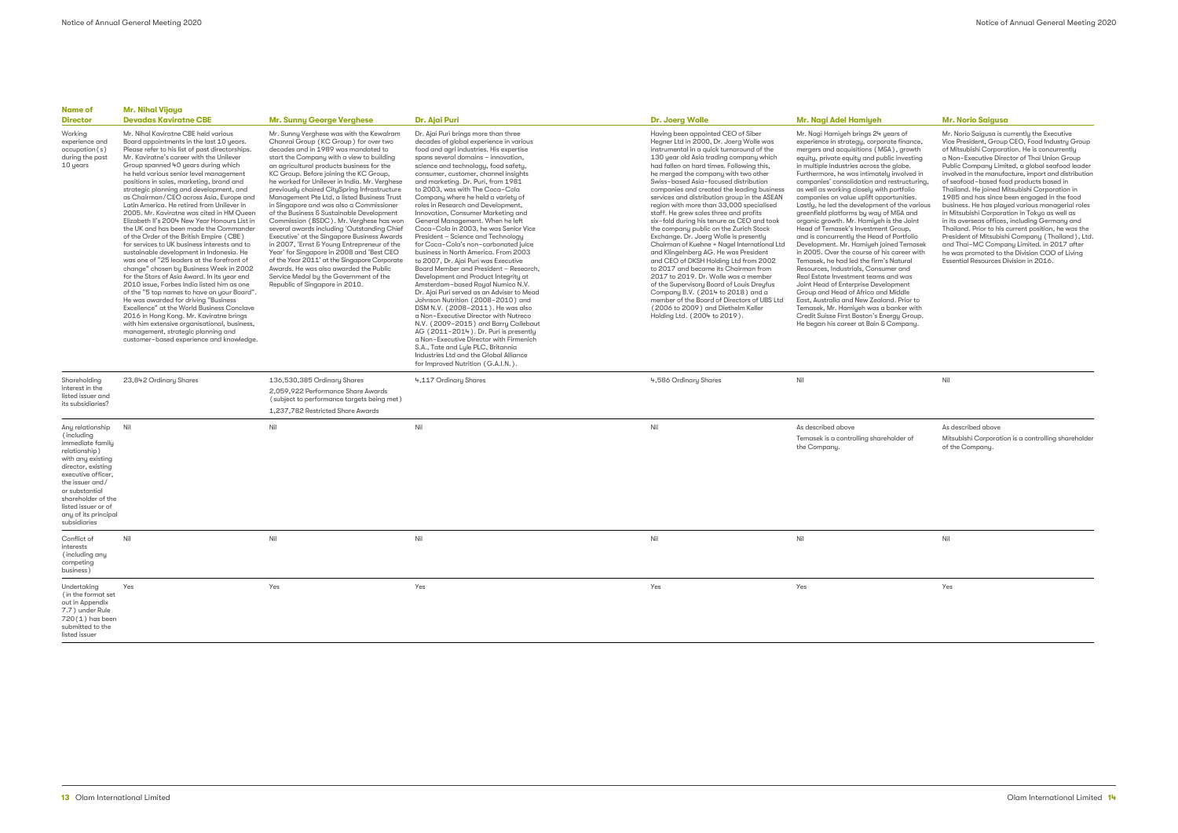| Name of<br><b>Director</b>                                                                                                                                                                                                                                     | Mr. Nihal Vijaya<br><b>Devadas Kaviratne CBE</b>                                                                                                                                                                                                                                                                                                                                                                                                                                                                                                                                                                                                                                                                                                                                                                                                                                                                                                                                                                                                                                                                                                                                                                                           | <b>Mr. Sunny George Verghese</b>                                                                                                                                                                                                                                                                                                                                                                                                                                                                                                                                                                                                                                                                                                                                                                                                                                                                                 | Dr. Ajai Puri                                                                                                                                                                                                                                                                                                                                                                                                                                                                                                                                                                                                                                                                                                                                                                                                                                                                                                                                                                                                                                                                                                                                                                                                                     | <b>Dr. Joerg Wolle</b>                                                                                                                                                                                                                                                                                                                                                                                                                                                                                                                                                                                                                                                                                                                                                                                                                                                                                                                                                                                                                             | Mr. Nagi Adel Hamiyeh                                                                                                                                                                                                                                                                                                                                                                                                                                                                                                                                                                                                                                                                                                                                                                                                                                                                                                                                                                                                                                                                                                     | <b>Mr. Norio Saigusa</b>                                                                                                                                                                                                                                                                                                                                                                                                                    |  |
|----------------------------------------------------------------------------------------------------------------------------------------------------------------------------------------------------------------------------------------------------------------|--------------------------------------------------------------------------------------------------------------------------------------------------------------------------------------------------------------------------------------------------------------------------------------------------------------------------------------------------------------------------------------------------------------------------------------------------------------------------------------------------------------------------------------------------------------------------------------------------------------------------------------------------------------------------------------------------------------------------------------------------------------------------------------------------------------------------------------------------------------------------------------------------------------------------------------------------------------------------------------------------------------------------------------------------------------------------------------------------------------------------------------------------------------------------------------------------------------------------------------------|------------------------------------------------------------------------------------------------------------------------------------------------------------------------------------------------------------------------------------------------------------------------------------------------------------------------------------------------------------------------------------------------------------------------------------------------------------------------------------------------------------------------------------------------------------------------------------------------------------------------------------------------------------------------------------------------------------------------------------------------------------------------------------------------------------------------------------------------------------------------------------------------------------------|-----------------------------------------------------------------------------------------------------------------------------------------------------------------------------------------------------------------------------------------------------------------------------------------------------------------------------------------------------------------------------------------------------------------------------------------------------------------------------------------------------------------------------------------------------------------------------------------------------------------------------------------------------------------------------------------------------------------------------------------------------------------------------------------------------------------------------------------------------------------------------------------------------------------------------------------------------------------------------------------------------------------------------------------------------------------------------------------------------------------------------------------------------------------------------------------------------------------------------------|----------------------------------------------------------------------------------------------------------------------------------------------------------------------------------------------------------------------------------------------------------------------------------------------------------------------------------------------------------------------------------------------------------------------------------------------------------------------------------------------------------------------------------------------------------------------------------------------------------------------------------------------------------------------------------------------------------------------------------------------------------------------------------------------------------------------------------------------------------------------------------------------------------------------------------------------------------------------------------------------------------------------------------------------------|---------------------------------------------------------------------------------------------------------------------------------------------------------------------------------------------------------------------------------------------------------------------------------------------------------------------------------------------------------------------------------------------------------------------------------------------------------------------------------------------------------------------------------------------------------------------------------------------------------------------------------------------------------------------------------------------------------------------------------------------------------------------------------------------------------------------------------------------------------------------------------------------------------------------------------------------------------------------------------------------------------------------------------------------------------------------------------------------------------------------------|---------------------------------------------------------------------------------------------------------------------------------------------------------------------------------------------------------------------------------------------------------------------------------------------------------------------------------------------------------------------------------------------------------------------------------------------|--|
| Working<br>experience and<br>occupation(s)<br>during the past<br>10 years                                                                                                                                                                                      | Mr. Nihal Kaviratne CBE held various<br>Board appointments in the last 10 years.<br>Please refer to his list of past directorships.<br>Mr. Kaviratne's career with the Unilever<br>Group spanned 40 years during which<br>he held various senior level management<br>positions in sales, marketing, brand and<br>strategic planning and development, and<br>as Chairman/CEO across Asia, Europe and<br>Latin America. He retired from Unilever in<br>2005. Mr. Kaviratne was cited in HM Queen<br>Elizabeth II's 2004 New Year Honours List in<br>the UK and has been made the Commander<br>of the Order of the British Empire (CBE)<br>for services to UK business interests and to<br>sustainable development in Indonesia. He<br>was one of "25 leaders at the forefront of<br>change" chosen by Business Week in 2002<br>for the Stars of Asia Award. In its year end<br>2010 issue, Forbes India listed him as one<br>of the "5 top names to have on your Board".<br>He was awarded for driving "Business"<br>Excellence" at the World Business Conclave<br>2016 in Hong Kong. Mr. Kaviratne brings<br>with him extensive organisational, business,<br>management, strategic planning and<br>customer-based experience and knowledge. | Mr. Sunny Verghese was with the Kewalram<br>Chanrai Group (KC Group) for over two<br>decades and in 1989 was mandated to<br>start the Company with a view to building<br>an agricultural products business for the<br>KC Group. Before joining the KC Group,<br>he worked for Unilever in India. Mr. Verghese<br>previously chaired CitySpring Infrastructure<br>Management Pte Ltd, a listed Business Trust<br>in Singapore and was also a Commissioner<br>of the Business & Sustainable Development<br>Commission (BSDC). Mr. Verghese has won<br>several awards including 'Outstanding Chief<br>Executive' at the Singapore Business Awards<br>in 2007, 'Ernst & Young Entrepreneur of the<br>Year' for Singapore in 2008 and 'Best CEO<br>of the Year 2011' at the Singapore Corporate<br>Awards. He was also awarded the Public<br>Service Medal by the Government of the<br>Republic of Singapore in 2010. | Dr. Ajai Puri brings more than three<br>decades of global experience in various<br>food and agri industries. His expertise<br>spans several domains - innovation,<br>science and technology, food safety,<br>consumer, customer, channel insights<br>and marketing. Dr. Puri, from 1981<br>to 2003, was with The Coca-Cola<br>Company where he held a variety of<br>roles in Research and Development,<br>Innovation, Consumer Marketing and<br>General Management. When he left<br>Coca-Cola in 2003, he was Senior Vice<br>President - Science and Technology<br>for Coca-Cola's non-carbonated juice<br>business in North America. From 2003<br>to 2007, Dr. Ajai Puri was Executive<br>Board Member and President - Research,<br>Development and Product Integrity at<br>Amsterdam-based Royal Numico N.V.<br>Dr. Ajai Puri served as an Adviser to Mead<br>Johnson Nutrition (2008-2010) and<br>DSM N.V. (2008-2011). He was also<br>a Non-Executive Director with Nutreco<br>N.V. (2009-2015) and Barry Callebaut<br>AG (2011-2014). Dr. Puri is presently<br>a Non-Executive Director with Firmenich<br>S.A., Tate and Lyle PLC, Britannia<br>Industries Ltd and the Global Alliance<br>for Improved Nutrition (G.A.I.N.). | Having been appointed CEO of Siber<br>Hegner Ltd in 2000, Dr. Joerg Wolle was<br>instrumental in a quick turnaround of the<br>130 year old Asia trading company which<br>had fallen on hard times. Following this,<br>he merged the company with two other<br>Swiss-based Asia-focused distribution<br>companies and created the leading business<br>services and distribution group in the ASEAN<br>region with more than 33,000 specialised<br>staff. He grew sales three and profits<br>six-fold during his tenure as CEO and took<br>the company public on the Zurich Stock<br>Exchange. Dr. Joerg Wolle is presently<br>Chairman of Kuehne + Nagel International Ltd<br>and Klingelnberg AG. He was President<br>and CEO of DKSH Holding Ltd from 2002<br>to 2017 and became its Chairman from<br>2017 to 2019. Dr. Wolle was a member<br>of the Supervisory Board of Louis Dreyfus<br>Company B.V. (2014 to 2018) and a<br>member of the Board of Directors of UBS Ltd<br>(2006 to 2009) and Diethelm Keller<br>Holding Ltd. (2004 to 2019). | Mr. Nagi Hamiyeh brings 24 years of<br>experience in strategy, corporate finance,<br>mergers and acquisitions (M&A), growth<br>equity, private equity and public investing<br>in multiple industries across the globe.<br>Furthermore, he was intimately involved in<br>companies' consolidation and restructuring,<br>as well as working closely with portfolio<br>companies on value uplift opportunities.<br>Lastly, he led the development of the various<br>greenfield platforms by way of M&A and<br>organic growth. Mr. Hamiyeh is the Joint<br>Head of Temasek's Investment Group,<br>and is concurrently the Head of Portfolio<br>Development. Mr. Hamiyeh joined Temasek<br>in 2005. Over the course of his career with<br>Temasek, he had led the firm's Natural<br>Resources, Industrials, Consumer and<br>Real Estate Investment teams and was<br>Joint Head of Enterprise Development<br>Group and Head of Africa and Middle<br>East, Australia and New Zealand, Prior to<br>Temasek, Mr. Hamiyeh was a banker with<br>Credit Suisse First Boston's Energy Group.<br>He began his career at Bain & Company. | Mr. Norio Saigusa is c<br>Vice President, Group<br>of Mitsubishi Corpora<br>a Non-Executive Dire<br>Public Company Limit<br>involved in the manufc<br>of seafood-based for<br>Thailand. He joined M<br>1985 and has since b<br>business. He has play<br>in Mitsubishi Corpora<br>in its overseas offices.<br>Thailand. Prior to his<br>President of Mitsubish<br>and Thai-MC Compo<br>he was promoted to tl<br><b>Essential Resources D</b> |  |
| Shareholding<br>interest in the<br>listed issuer and<br>its subsidiaries?                                                                                                                                                                                      | 23,842 Ordinary Shares                                                                                                                                                                                                                                                                                                                                                                                                                                                                                                                                                                                                                                                                                                                                                                                                                                                                                                                                                                                                                                                                                                                                                                                                                     | 136,530,385 Ordinary Shares<br>2,059,922 Performance Share Awards<br>(subject to performance targets being met)<br>1,237,782 Restricted Share Awards                                                                                                                                                                                                                                                                                                                                                                                                                                                                                                                                                                                                                                                                                                                                                             | 4,117 Ordinary Shares                                                                                                                                                                                                                                                                                                                                                                                                                                                                                                                                                                                                                                                                                                                                                                                                                                                                                                                                                                                                                                                                                                                                                                                                             | 4,586 Ordinary Shares                                                                                                                                                                                                                                                                                                                                                                                                                                                                                                                                                                                                                                                                                                                                                                                                                                                                                                                                                                                                                              | Nil                                                                                                                                                                                                                                                                                                                                                                                                                                                                                                                                                                                                                                                                                                                                                                                                                                                                                                                                                                                                                                                                                                                       | Nil                                                                                                                                                                                                                                                                                                                                                                                                                                         |  |
| Any relationship<br>(including<br>immediate family<br>relationship)<br>with any existing<br>director, existing<br>executive officer,<br>the issuer and/<br>or substantial<br>shareholder of the<br>listed issuer or of<br>any of its principal<br>subsidiaries | Nil                                                                                                                                                                                                                                                                                                                                                                                                                                                                                                                                                                                                                                                                                                                                                                                                                                                                                                                                                                                                                                                                                                                                                                                                                                        | Nil                                                                                                                                                                                                                                                                                                                                                                                                                                                                                                                                                                                                                                                                                                                                                                                                                                                                                                              | Nil                                                                                                                                                                                                                                                                                                                                                                                                                                                                                                                                                                                                                                                                                                                                                                                                                                                                                                                                                                                                                                                                                                                                                                                                                               | Nil                                                                                                                                                                                                                                                                                                                                                                                                                                                                                                                                                                                                                                                                                                                                                                                                                                                                                                                                                                                                                                                | As described above<br>Temasek is a controlling shareholder of<br>the Company.                                                                                                                                                                                                                                                                                                                                                                                                                                                                                                                                                                                                                                                                                                                                                                                                                                                                                                                                                                                                                                             | As described above<br>Mitsubishi Corporatio<br>of the Company.                                                                                                                                                                                                                                                                                                                                                                              |  |
| Conflict of<br>interests<br>(including any<br>competing<br>business)                                                                                                                                                                                           | Nil                                                                                                                                                                                                                                                                                                                                                                                                                                                                                                                                                                                                                                                                                                                                                                                                                                                                                                                                                                                                                                                                                                                                                                                                                                        | Nil                                                                                                                                                                                                                                                                                                                                                                                                                                                                                                                                                                                                                                                                                                                                                                                                                                                                                                              | Nil                                                                                                                                                                                                                                                                                                                                                                                                                                                                                                                                                                                                                                                                                                                                                                                                                                                                                                                                                                                                                                                                                                                                                                                                                               | Nil                                                                                                                                                                                                                                                                                                                                                                                                                                                                                                                                                                                                                                                                                                                                                                                                                                                                                                                                                                                                                                                | Nil                                                                                                                                                                                                                                                                                                                                                                                                                                                                                                                                                                                                                                                                                                                                                                                                                                                                                                                                                                                                                                                                                                                       | Nil                                                                                                                                                                                                                                                                                                                                                                                                                                         |  |
| Undertaking<br>(in the format set<br>out in Appendix<br>7.7) under Rule<br>$720(1)$ has been<br>submitted to the<br>listed issuer                                                                                                                              | Yes                                                                                                                                                                                                                                                                                                                                                                                                                                                                                                                                                                                                                                                                                                                                                                                                                                                                                                                                                                                                                                                                                                                                                                                                                                        | Yes                                                                                                                                                                                                                                                                                                                                                                                                                                                                                                                                                                                                                                                                                                                                                                                                                                                                                                              | Yes                                                                                                                                                                                                                                                                                                                                                                                                                                                                                                                                                                                                                                                                                                                                                                                                                                                                                                                                                                                                                                                                                                                                                                                                                               | Yes                                                                                                                                                                                                                                                                                                                                                                                                                                                                                                                                                                                                                                                                                                                                                                                                                                                                                                                                                                                                                                                | Yes                                                                                                                                                                                                                                                                                                                                                                                                                                                                                                                                                                                                                                                                                                                                                                                                                                                                                                                                                                                                                                                                                                                       | Yes                                                                                                                                                                                                                                                                                                                                                                                                                                         |  |

Mr. Norio Saigusa is currently the Executive Vice President, Group CEO, Food Industry Group of Mitsubishi Corporation. He is concurrently a Non-Executive Director of Thai Union Group Public Company Limited, a global seafood leader involved in the manufacture, import and distribution of seafood-based food products based in Thailand. He joined Mitsubishi Corporation in 1985 and has since been engaged in the food business. He has played various managerial roles in Mitsubishi Corporation in Tokyo as well as in its overseas offices, including Germany and Thailand. Prior to his current position, he was the President of Mitsubishi Company (Thailand), Ltd. and Thai-MC Company Limited. in 2017 after he was promoted to the Division COO of Living Essential Resources Division in 2016.

As described above Mitsubishi Corporation is a controlling shareholder of the Company.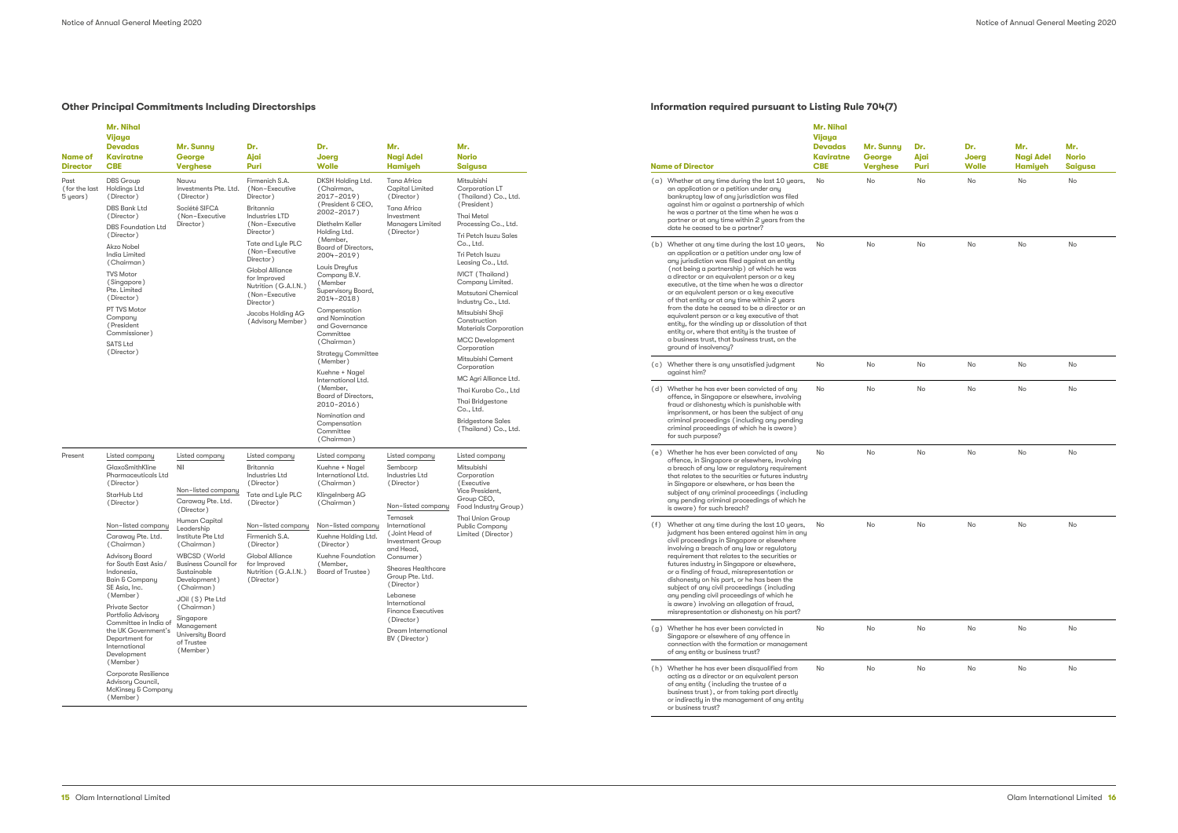## **Other Principal Commitments Including Directorships**

| <b>Name of</b><br><b>Director</b> | <b>Mr. Nihal</b><br>Vijaya<br><b>Devadas</b><br><b>Kaviratne</b><br><b>CBE</b>                                                                                                                              | Mr. Sunny<br>George<br><b>Verghese</b>                                                                                                                                                             | Dr.<br>Ajai<br>Puri                                                                                                                                                                                                                                                                                                                                                                                                                                                                       | Dr.<br>Joerg<br><b>Wolle</b>                                                                                                                                                                                                                                                                                                    | Mr.<br><b>Nagi Adel</b><br><b>Hamiyeh</b>                                                                                                                                                                                      | Mr.<br>Norio<br><b>Saigusa</b>                                                                                                                                                                                                                                                    | <b>Name of Director</b>                                                                                                                                                                                                                                                                                                                                                                                                                                                                                                                                                                                                                                                                                                                              | <b>Mr. Nihal</b><br>Vijaya<br><b>Devadas</b><br><b>Kaviratne</b><br><b>CBE</b>                                                                                           | Mr. Sunny<br>George<br><b>Verghese</b>                                                                                                                                                                                                                                                                           | Dr.<br>Ajai<br>Puri | Dr.<br>Joerg<br><b>Wolle</b> | Mr.<br><b>Nagi Adel</b><br><b>Hamiyeh</b> | Mr.<br><b>Norio</b><br><b>Saigusa</b> |
|-----------------------------------|-------------------------------------------------------------------------------------------------------------------------------------------------------------------------------------------------------------|----------------------------------------------------------------------------------------------------------------------------------------------------------------------------------------------------|-------------------------------------------------------------------------------------------------------------------------------------------------------------------------------------------------------------------------------------------------------------------------------------------------------------------------------------------------------------------------------------------------------------------------------------------------------------------------------------------|---------------------------------------------------------------------------------------------------------------------------------------------------------------------------------------------------------------------------------------------------------------------------------------------------------------------------------|--------------------------------------------------------------------------------------------------------------------------------------------------------------------------------------------------------------------------------|-----------------------------------------------------------------------------------------------------------------------------------------------------------------------------------------------------------------------------------------------------------------------------------|------------------------------------------------------------------------------------------------------------------------------------------------------------------------------------------------------------------------------------------------------------------------------------------------------------------------------------------------------------------------------------------------------------------------------------------------------------------------------------------------------------------------------------------------------------------------------------------------------------------------------------------------------------------------------------------------------------------------------------------------------|--------------------------------------------------------------------------------------------------------------------------------------------------------------------------|------------------------------------------------------------------------------------------------------------------------------------------------------------------------------------------------------------------------------------------------------------------------------------------------------------------|---------------------|------------------------------|-------------------------------------------|---------------------------------------|
| Past<br>(for the last<br>5 years) | <b>DBS</b> Group<br><b>Holdings Ltd</b><br>(Director)<br>DBS Bank Ltd<br>(Director)<br><b>DBS</b> Foundation Ltd<br>(Director)                                                                              | Nauvu<br>Investments Pte. Ltd.<br>(Director)<br>Société SIFCA<br>(Non-Executive<br>Director)                                                                                                       | Mitsubishi<br>Firmenich S.A.<br><b>DKSH Holding Ltd</b><br>Tana Africa<br>(Non-Executive<br>(Chairman,<br><b>Capital Limited</b><br>Corporation LT<br>2017-2019)<br>(Thailand) Co., Ltd.<br>Director)<br>(Director)<br>(President & CEO,<br>(President)<br>Tana Africa<br>Britannia<br>2002-2017)<br>Industries LTD<br><b>Thai Metal</b><br>Investment<br>Diethelm Keller<br><b>Managers Limited</b><br>Processing Co., Ltd.<br>(Non-Executive<br>Holding Ltd.<br>Director)<br>(Director) | (a) Whether at any time during the last 10 years,<br>an application or a petition under any<br>bankruptcy law of any jurisdiction was filed<br>against him or against a partnership of which<br>he was a partner at the time when he was a<br>partner or at any time within 2 years from the<br>date he ceased to be a partner? | No                                                                                                                                                                                                                             | No                                                                                                                                                                                                                                                                                | No                                                                                                                                                                                                                                                                                                                                                                                                                                                                                                                                                                                                                                                                                                                                                   | No                                                                                                                                                                       | No                                                                                                                                                                                                                                                                                                               | No                  |                              |                                           |                                       |
|                                   | Akzo Nobel<br>India Limited<br>(Chairman)<br><b>TVS Motor</b><br>(Singapore)<br>Pte. Limited<br>(Director)<br>PT TVS Motor<br>Company<br>(President<br>Commissioner)<br><b>SATS Ltd</b><br>(Director)       |                                                                                                                                                                                                    | Tate and Lule PLC<br>(Non-Executive<br>Director)<br><b>Global Alliance</b><br>for Improved<br>Nutrition (G.A.I.N.<br>(Non-Executive<br>Director)<br>Jacobs Holding AG<br>(Advisory Member)                                                                                                                                                                                                                                                                                                | (Member,<br><b>Board of Directors,</b><br>2004-2019)<br>Louis Dreyfus<br>Company B.V.<br>(Member<br>Supervisory Board,<br>2014-2018)<br>Compensation<br>and Nomination<br>and Governance<br>Committee<br>(Chairman)<br><b>Strategy Committee</b>                                                                                |                                                                                                                                                                                                                                | Tri Petch Isuzu Sales<br>Co., Ltd.<br>Tri Petch Isuzu<br>Leasing Co., Ltd.<br><b>IVICT</b> (Thailand)<br>Company Limited<br>Matsutani Chemical<br>Industry Co., Ltd.<br>Mitsubishi Shoji<br>Construction<br><b>Materials Corporation</b><br><b>MCC Development</b><br>Corporation | (b) Whether at any time during the last 10 years, No<br>an application or a petition under any law of<br>any jurisdiction was filed against an entity<br>(not being a partnership) of which he was<br>a director or an equivalent person or a key<br>executive, at the time when he was a director<br>or an equivalent person or a key executive<br>of that entity or at any time within 2 years<br>from the date he ceased to be a director or an<br>equivalent person or a key executive of that<br>entity, for the winding up or dissolution of that<br>entity or, where that entity is the trustee of<br>a business trust, that business trust, on the<br>ground of insolvencu?<br>(c) Whether there is any unsatisfied judgment<br>against him? |                                                                                                                                                                          | No                                                                                                                                                                                                                                                                                                               | No                  | No                           | No                                        | No                                    |
|                                   |                                                                                                                                                                                                             |                                                                                                                                                                                                    |                                                                                                                                                                                                                                                                                                                                                                                                                                                                                           | (Member)<br>Kuehne + Nagel<br>International Ltd.                                                                                                                                                                                                                                                                                |                                                                                                                                                                                                                                | Mitsubishi Cement<br>Corporation<br>MC Agri Alliance Ltd.                                                                                                                                                                                                                         |                                                                                                                                                                                                                                                                                                                                                                                                                                                                                                                                                                                                                                                                                                                                                      | No                                                                                                                                                                       | No                                                                                                                                                                                                                                                                                                               | No                  | No                           | No                                        | No                                    |
|                                   |                                                                                                                                                                                                             |                                                                                                                                                                                                    |                                                                                                                                                                                                                                                                                                                                                                                                                                                                                           |                                                                                                                                                                                                                                                                                                                                 |                                                                                                                                                                                                                                | (Member,<br><b>Board of Directors,</b><br>2010-2016)<br>Nomination and<br>Compensation<br>Committee<br>(Chairman)                                                                                                                                                                 |                                                                                                                                                                                                                                                                                                                                                                                                                                                                                                                                                                                                                                                                                                                                                      | Thai Kurabo Co., Ltd<br>Thai Bridgestone<br>Co., Ltd.<br><b>Bridgestone Sales</b><br>(Thailand) Co., Ltd.                                                                | (d) Whether he has ever been convicted of any<br>offence, in Singapore or elsewhere, involving<br>fraud or dishonesty which is punishable with<br>imprisonment, or has been the subject of any<br>criminal proceedings (including any pending<br>criminal proceedings of which he is aware)<br>for such purpose? | No                  | No                           | No                                        | No                                    |
| Present                           | Listed company<br>GlaxoSmithKline<br><b>Pharmaceuticals Ltd</b><br>(Director)<br>StarHub Ltd<br>(Director)                                                                                                  | Listed company<br>Nil<br>Non-listed company<br>Caraway Pte. Ltd.<br>(Director)                                                                                                                     | Listed company<br>Britannia<br>Industries Ltd<br>(Director)<br>Tate and Lyle PLC<br>(Director)                                                                                                                                                                                                                                                                                                                                                                                            | Listed company<br>Kuehne + Nagel<br>International Ltd.<br>(Chairman)<br>Klingelnberg AG<br>(Chairman)                                                                                                                                                                                                                           | Listed company<br>Sembcorp<br>Industries Ltd<br>(Director)<br>Non-listed company                                                                                                                                               | Listed company<br>Mitsubishi<br>Corporation<br>(Executive<br>Vice President,<br>Group CEO,<br>Food Industry Group)                                                                                                                                                                | (e) Whether he has ever been convicted of any<br>offence, in Singapore or elsewhere, involving<br>a breach of any law or regulatory requirement<br>that relates to the securities or futures industry<br>in Singapore or elsewhere, or has been the<br>subject of any criminal proceedings (including<br>any pending criminal proceedings of which he<br>is aware) for such breach?                                                                                                                                                                                                                                                                                                                                                                  | No                                                                                                                                                                       | No                                                                                                                                                                                                                                                                                                               | No                  | No                           | No                                        | No                                    |
|                                   | Non-listed company<br>Caraway Pte. Ltd.<br>(Chairman)<br>Advisory Board<br>for South East Asia/<br>Indonesia,<br>Bain & Company<br>SE Asia, Inc.<br>(Member)<br><b>Private Sector</b><br>Portfolio Advisory | Human Capital<br>Leadership<br>Institute Pte Ltd<br>(Chairman)<br>WBCSD (World<br>Business Council for<br>Sustainable<br>Development)<br>(Chairman)<br>JOil (S) Pte Ltd<br>(Chairman)<br>Singapore | Non-listed company<br>Firmenich S.A.<br>(Director)<br>Global Alliance<br>tor Improved<br>Nutrition (G.A.I.N.) Board of Trustee)<br>(Director)                                                                                                                                                                                                                                                                                                                                             | Non-listed company<br>Kuehne Holding Ltd.<br>(Director)<br>Kuehne Foundation<br>(Member,                                                                                                                                                                                                                                        | Temasek<br>International<br>(Joint Head of<br>Investment Group<br>and Head,<br>Consumer)<br><b>Sheares Healthcare</b><br>Group Pte. Ltd.<br>(Director)<br>Lebanese<br>International<br><b>Finance Executives</b><br>(Director) | Thai Union Group<br>Public Company<br>Limited (Director)                                                                                                                                                                                                                          | (f) Whether at any time during the last 10 years, No<br>judgment has been entered against him in any<br>civil proceedings in Singapore or elsewhere<br>involving a breach of any law or regulatory<br>requirement that relates to the securities or<br>tutures industry in Singapore or elsewhere,<br>or a finding of fraud, misrepresentation or<br>dishonesty on his part, or he has been the<br>subject of any civil proceedings (including<br>any pending civil proceedings of which he<br>is aware) involving an allegation of fraud,<br>misrepresentation or dishonesty on his part?                                                                                                                                                           |                                                                                                                                                                          | No                                                                                                                                                                                                                                                                                                               | No                  | No                           | No                                        | No                                    |
|                                   | Committee in India of<br>the UK Government's<br>Department for<br>International<br>Development                                                                                                              | Management<br>of Trustee<br>(Member)                                                                                                                                                               | <b>University Board</b>                                                                                                                                                                                                                                                                                                                                                                                                                                                                   |                                                                                                                                                                                                                                                                                                                                 |                                                                                                                                                                                                                                | Dream International<br>BV (Director)                                                                                                                                                                                                                                              |                                                                                                                                                                                                                                                                                                                                                                                                                                                                                                                                                                                                                                                                                                                                                      | (g) Whether he has ever been convicted in<br>Singapore or elsewhere of any offence in<br>connection with the formation or management<br>of any entity or business trust? | No                                                                                                                                                                                                                                                                                                               | No                  | No                           | No                                        | No                                    |
|                                   | (Member)<br>Corporate Resilience<br>Advisory Council,<br>McKinsey & Company<br>(Member)                                                                                                                     |                                                                                                                                                                                                    |                                                                                                                                                                                                                                                                                                                                                                                                                                                                                           |                                                                                                                                                                                                                                                                                                                                 |                                                                                                                                                                                                                                |                                                                                                                                                                                                                                                                                   | (h) Whether he has ever been disqualified from<br>acting as a director or an equivalent person<br>of any entity (including the trustee of a<br>business trust), or from taking part directly<br>or indirectly in the management of any entity<br>or business trust?                                                                                                                                                                                                                                                                                                                                                                                                                                                                                  | No                                                                                                                                                                       | No                                                                                                                                                                                                                                                                                                               | No                  | No                           | No                                        | No                                    |

## **Information required pursuant to Listing Rule 704(7)**